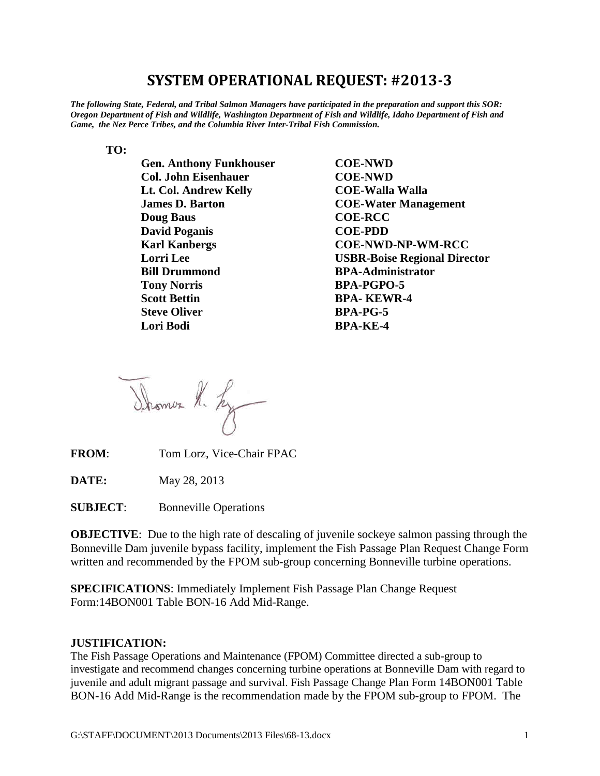# **SYSTEM OPERATIONAL REQUEST: #2013-3**

*The following State, Federal, and Tribal Salmon Managers have participated in the preparation and support this SOR: Oregon Department of Fish and Wildlife, Washington Department of Fish and Wildlife, Idaho Department of Fish and Game, the Nez Perce Tribes, and the Columbia River Inter-Tribal Fish Commission.*

**TO:**

| <b>Gen. Anthony Funkhouser</b> | <b>COE-NWD</b>                      |
|--------------------------------|-------------------------------------|
| <b>Col. John Eisenhauer</b>    | <b>COE-NWD</b>                      |
| Lt. Col. Andrew Kelly          | <b>COE-Walla Walla</b>              |
| <b>James D. Barton</b>         | <b>COE-Water Management</b>         |
| <b>Doug Baus</b>               | <b>COE-RCC</b>                      |
| <b>David Poganis</b>           | <b>COE-PDD</b>                      |
| <b>Karl Kanbergs</b>           | <b>COE-NWD-NP-WM-RCC</b>            |
| <b>Lorri</b> Lee               | <b>USBR-Boise Regional Director</b> |
| <b>Bill Drummond</b>           | <b>BPA-Administrator</b>            |
| <b>Tony Norris</b>             | <b>BPA-PGPO-5</b>                   |
| <b>Scott Bettin</b>            | <b>BPA-KEWR-4</b>                   |
| <b>Steve Oliver</b>            | <b>BPA-PG-5</b>                     |
| Lori Bodi                      | <b>BPA-KE-4</b>                     |

Shows R. Ly

**FROM**: Tom Lorz, Vice-Chair FPAC

**DATE:** May 28, 2013

**SUBJECT**: Bonneville Operations

**OBJECTIVE:** Due to the high rate of descaling of juvenile sockeye salmon passing through the Bonneville Dam juvenile bypass facility, implement the Fish Passage Plan Request Change Form written and recommended by the FPOM sub-group concerning Bonneville turbine operations.

**SPECIFICATIONS**: Immediately Implement Fish Passage Plan Change Request Form:14BON001 Table BON-16 Add Mid-Range.

#### **JUSTIFICATION:**

The Fish Passage Operations and Maintenance (FPOM) Committee directed a sub-group to investigate and recommend changes concerning turbine operations at Bonneville Dam with regard to juvenile and adult migrant passage and survival. Fish Passage Change Plan Form 14BON001 Table BON-16 Add Mid-Range is the recommendation made by the FPOM sub-group to FPOM. The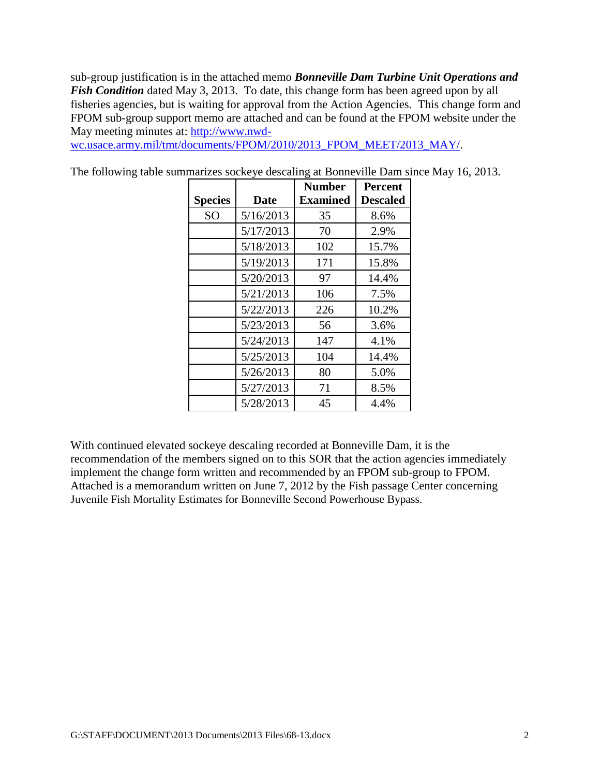sub-group justification is in the attached memo *Bonneville Dam Turbine Unit Operations and Fish Condition* dated May 3, 2013. To date, this change form has been agreed upon by all fisheries agencies, but is waiting for approval from the Action Agencies. This change form and FPOM sub-group support memo are attached and can be found at the FPOM website under the May meeting minutes at: [http://www.nwd-](http://www.nwd-wc.usace.army.mil/tmt/documents/FPOM/2010/2013_FPOM_MEET/2013_MAY/)

[wc.usace.army.mil/tmt/documents/FPOM/2010/2013\\_FPOM\\_MEET/2013\\_MAY/.](http://www.nwd-wc.usace.army.mil/tmt/documents/FPOM/2010/2013_FPOM_MEET/2013_MAY/)

|                |           | <b>Number</b>   | <b>Percent</b> |
|----------------|-----------|-----------------|----------------|
| <b>Species</b> | Date      | <b>Examined</b> | Descaled       |
| S <sub>O</sub> | 5/16/2013 | 35              | 8.6%           |
|                | 5/17/2013 | 70              | 2.9%           |
|                | 5/18/2013 | 102             | 15.7%          |
|                | 5/19/2013 | 171             | 15.8%          |
|                | 5/20/2013 | 97              | 14.4%          |
|                | 5/21/2013 | 106             | 7.5%           |
|                | 5/22/2013 | 226             | 10.2%          |
|                | 5/23/2013 | 56              | 3.6%           |
|                | 5/24/2013 | 147             | 4.1%           |
|                | 5/25/2013 | 104             | 14.4%          |
|                | 5/26/2013 | 80              | 5.0%           |
|                | 5/27/2013 | 71              | 8.5%           |
|                | 5/28/2013 | 45              | 4.4%           |

The following table summarizes sockeye descaling at Bonneville Dam since May 16, 2013.

With continued elevated sockeye descaling recorded at Bonneville Dam, it is the recommendation of the members signed on to this SOR that the action agencies immediately implement the change form written and recommended by an FPOM sub-group to FPOM. Attached is a memorandum written on June 7, 2012 by the Fish passage Center concerning Juvenile Fish Mortality Estimates for Bonneville Second Powerhouse Bypass.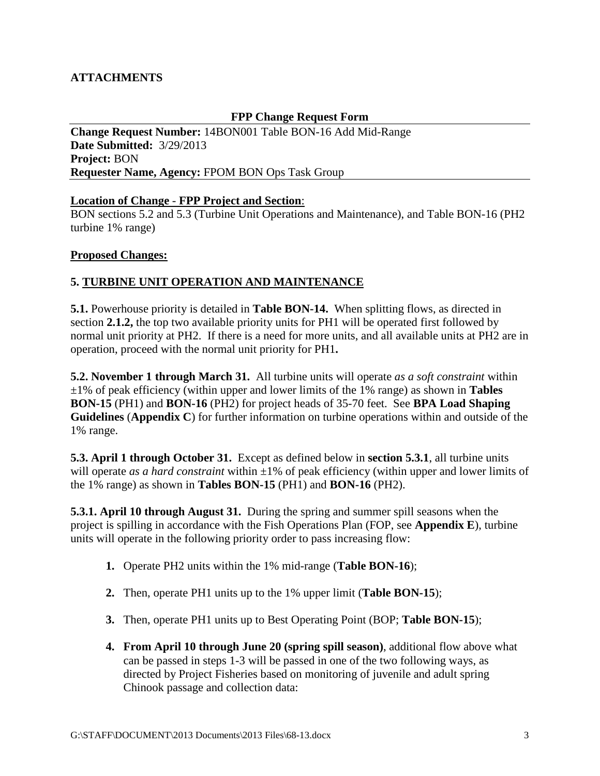# **ATTACHMENTS**

#### **FPP Change Request Form**

**Change Request Number:** 14BON001 Table BON-16 Add Mid-Range **Date Submitted:** 3/29/2013 **Project:** BON **Requester Name, Agency:** FPOM BON Ops Task Group

#### **Location of Change** - **FPP Project and Section**:

BON sections 5.2 and 5.3 (Turbine Unit Operations and Maintenance), and Table BON-16 (PH2 turbine 1% range)

#### **Proposed Changes:**

#### **5. TURBINE UNIT OPERATION AND MAINTENANCE**

**5.1.** Powerhouse priority is detailed in **Table BON-14.** When splitting flows, as directed in section **2.1.2,** the top two available priority units for PH1 will be operated first followed by normal unit priority at PH2. If there is a need for more units, and all available units at PH2 are in operation, proceed with the normal unit priority for PH1**.** 

**5.2. November 1 through March 31.** All turbine units will operate *as a soft constraint* within ±1% of peak efficiency (within upper and lower limits of the 1% range) as shown in **Tables BON-15** (PH1) and **BON-16** (PH2) for project heads of 35-70 feet. See **BPA Load Shaping Guidelines** (**Appendix C**) for further information on turbine operations within and outside of the 1% range.

**5.3. April 1 through October 31.** Except as defined below in **section 5.3.1**, all turbine units will operate *as a hard constraint* within  $\pm 1\%$  of peak efficiency (within upper and lower limits of the 1% range) as shown in **Tables BON-15** (PH1) and **BON-16** (PH2).

**5.3.1. April 10 through August 31.** During the spring and summer spill seasons when the project is spilling in accordance with the Fish Operations Plan (FOP, see **Appendix E**), turbine units will operate in the following priority order to pass increasing flow:

- **1.** Operate PH2 units within the 1% mid-range (**Table BON-16**);
- **2.** Then, operate PH1 units up to the 1% upper limit (**Table BON-15**);
- **3.** Then, operate PH1 units up to Best Operating Point (BOP; **Table BON-15**);
- **4. From April 10 through June 20 (spring spill season)**, additional flow above what can be passed in steps 1-3 will be passed in one of the two following ways, as directed by Project Fisheries based on monitoring of juvenile and adult spring Chinook passage and collection data: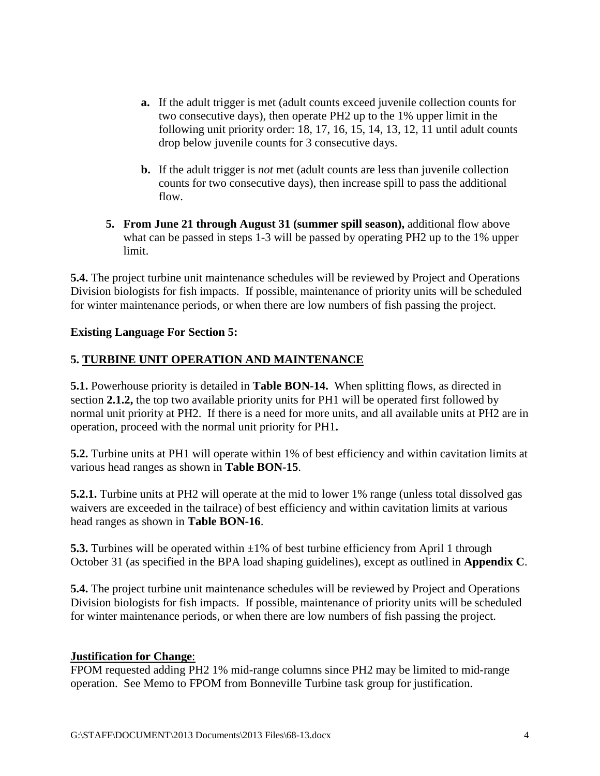- **a.** If the adult trigger is met (adult counts exceed juvenile collection counts for two consecutive days), then operate PH2 up to the 1% upper limit in the following unit priority order: 18, 17, 16, 15, 14, 13, 12, 11 until adult counts drop below juvenile counts for 3 consecutive days.
- **b.** If the adult trigger is *not* met (adult counts are less than juvenile collection counts for two consecutive days), then increase spill to pass the additional flow.
- **5. From June 21 through August 31 (summer spill season),** additional flow above what can be passed in steps 1-3 will be passed by operating PH2 up to the 1% upper limit.

**5.4.** The project turbine unit maintenance schedules will be reviewed by Project and Operations Division biologists for fish impacts. If possible, maintenance of priority units will be scheduled for winter maintenance periods, or when there are low numbers of fish passing the project.

#### **Existing Language For Section 5:**

### **5. TURBINE UNIT OPERATION AND MAINTENANCE**

**5.1.** Powerhouse priority is detailed in **Table BON-14.** When splitting flows, as directed in section **2.1.2,** the top two available priority units for PH1 will be operated first followed by normal unit priority at PH2. If there is a need for more units, and all available units at PH2 are in operation, proceed with the normal unit priority for PH1**.** 

**5.2.** Turbine units at PH1 will operate within 1% of best efficiency and within cavitation limits at various head ranges as shown in **Table BON-15**.

**5.2.1.** Turbine units at PH2 will operate at the mid to lower 1% range (unless total dissolved gas waivers are exceeded in the tailrace) of best efficiency and within cavitation limits at various head ranges as shown in **Table BON-16**.

**5.3.** Turbines will be operated within  $\pm 1\%$  of best turbine efficiency from April 1 through October 31 (as specified in the BPA load shaping guidelines), except as outlined in **Appendix C**.

**5.4.** The project turbine unit maintenance schedules will be reviewed by Project and Operations Division biologists for fish impacts. If possible, maintenance of priority units will be scheduled for winter maintenance periods, or when there are low numbers of fish passing the project.

#### **Justification for Change**:

FPOM requested adding PH2 1% mid-range columns since PH2 may be limited to mid-range operation. See Memo to FPOM from Bonneville Turbine task group for justification.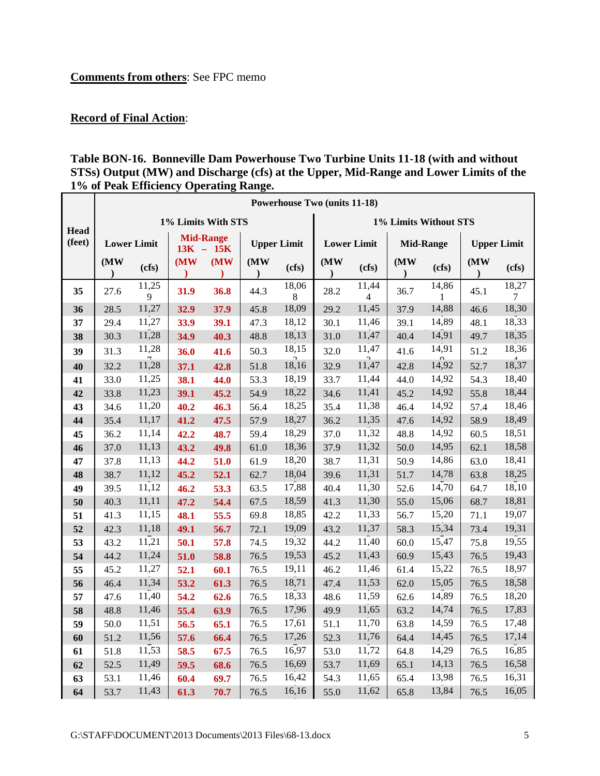# **Comments from others**: See FPC memo

# **Record of Final Action**:

### **Table BON-16. Bonneville Dam Powerhouse Two Turbine Units 11-18 (with and without STSs) Output (MW) and Discharge (cfs) at the Upper, Mid-Range and Lower Limits of the 1% of Peak Efficiency Operating Range.**

|                | <b>Powerhouse Two (units 11-18)</b> |                                   |                    |             |                    |            |                       |                         |      |                   |                    |            |
|----------------|-------------------------------------|-----------------------------------|--------------------|-------------|--------------------|------------|-----------------------|-------------------------|------|-------------------|--------------------|------------|
|                |                                     |                                   | 1% Limits With STS |             |                    |            | 1% Limits Without STS |                         |      |                   |                    |            |
| Head<br>(feet) |                                     | <b>Lower Limit</b>                | <b>Mid-Range</b>   | $13K - 15K$ | <b>Upper Limit</b> |            | <b>Lower Limit</b>    |                         |      | <b>Mid-Range</b>  | <b>Upper Limit</b> |            |
|                | (MW)                                | (cfs)                             | (MW                | (MW)        | (MW                | (cfs)      | (MW)                  | (cfs)                   | (MW) | (cfs)             | (MW                | (cfs)      |
| 35             | 27.6                                | 11,25<br>9                        | 31.9               | 36.8        | 44.3               | 18,06<br>8 | 28.2                  | 11,44<br>$\overline{4}$ | 36.7 | 14,86<br>1        | 45.1               | 18,27<br>7 |
| 36             | 28.5                                | 11,27                             | 32.9               | 37.9        | 45.8               | 18,09      | 29.2                  | 11,45                   | 37.9 | 14,88             | 46.6               | 18,30      |
| 37             | 29.4                                | 11,27                             | 33.9               | 39.1        | 47.3               | 18,12      | 30.1                  | 11,46                   | 39.1 | 14,89             | 48.1               | 18,33      |
| 38             | 30.3                                | 11,28                             | 34.9               | 40.3        | 48.8               | 18,13      | 31.0                  | 11,47                   | 40.4 | 14,91             | 49.7               | 18,35      |
| 39             | 31.3                                | 11,28                             | 36.0               | 41.6        | 50.3               | 18,15      | 32.0                  | 11,47                   | 41.6 | 14,91             | 51.2               | 18,36      |
| 40             | 32.2                                | $\overline{\phantom{a}}$<br>11,28 | 37.1               | 42.8        | 51.8               | 18,16      | 32.9                  | $\overline{11,47}$      | 42.8 | $\Omega$<br>14,92 | 52.7               | 18,37      |
| 41             | 33.0                                | 11,25                             | 38.1               | 44.0        | 53.3               | 18,19      | 33.7                  | 11,44                   | 44.0 | 14,92             | 54.3               | 18,40      |
| 42             | 33.8                                | 11,23                             | 39.1               | 45.2        | 54.9               | 18,22      | 34.6                  | 11,41                   | 45.2 | 14,92             | 55.8               | 18,44      |
| 43             | 34.6                                | 11,20                             | 40.2               | 46.3        | 56.4               | 18,25      | 35.4                  | 11,38                   | 46.4 | 14,92             | 57.4               | 18,46      |
| 44             | 35.4                                | 11,17                             | 41.2               | 47.5        | 57.9               | 18,27      | 36.2                  | 11,35                   | 47.6 | 14,92             | 58.9               | 18,49      |
| 45             | 36.2                                | 11,14                             | 42.2               | 48.7        | 59.4               | 18,29      | 37.0                  | 11,32                   | 48.8 | 14,92             | 60.5               | 18,51      |
| 46             | 37.0                                | 11,13                             | 43.2               | 49.8        | 61.0               | 18,36      | 37.9                  | 11,32                   | 50.0 | 14,95             | 62.1               | 18,58      |
| 47             | 37.8                                | 11,13                             | 44.2               | 51.0        | 61.9               | 18,20      | 38.7                  | 11,31                   | 50.9 | 14,86             | 63.0               | 18,41      |
| 48             | 38.7                                | 11,12                             | 45.2               | 52.1        | 62.7               | 18,04      | 39.6                  | 11,31                   | 51.7 | 14,78             | 63.8               | 18,25      |
| 49             | 39.5                                | 11,12                             | 46.2               | 53.3        | 63.5               | 17,88      | 40.4                  | 11,30                   | 52.6 | 14,70             | 64.7               | 18,10      |
| 50             | 40.3                                | 11,11                             | 47.2               | 54.4        | 67.5               | 18,59      | 41.3                  | 11,30                   | 55.0 | 15,06             | 68.7               | 18,81      |
| 51             | 41.3                                | 11,15                             | 48.1               | 55.5        | 69.8               | 18,85      | 42.2                  | 11,33                   | 56.7 | 15,20             | 71.1               | 19,07      |
| 52             | 42.3                                | 11,18                             | 49.1               | 56.7        | 72.1               | 19,09      | 43.2                  | 11,37                   | 58.3 | 15,34             | 73.4               | 19,31      |
| 53             | 43.2                                | 11,21                             | 50.1               | 57.8        | 74.5               | 19,32      | 44.2                  | 11,40                   | 60.0 | 15,47             | 75.8               | 19,55      |
| 54             | 44.2                                | 11,24                             | 51.0               | 58.8        | 76.5               | 19,53      | 45.2                  | 11,43                   | 60.9 | 15,43             | 76.5               | 19,43      |
| 55             | 45.2                                | 11,27                             | 52.1               | 60.1        | 76.5               | 19,11      | 46.2                  | 11,46                   | 61.4 | 15,22             | 76.5               | 18,97      |
| 56             | 46.4                                | 11,34                             | 53.2               | 61.3        | 76.5               | 18,71      | 47.4                  | 11,53                   | 62.0 | 15,05             | 76.5               | 18,58      |
| 57             | 47.6                                | 11,40                             | 54.2               | 62.6        | 76.5               | 18,33      | 48.6                  | 11,59                   | 62.6 | 14,89             | 76.5               | 18,20      |
| 58             | 48.8                                | 11,46                             | 55.4               | 63.9        | 76.5               | 17,96      | 49.9                  | 11,65                   | 63.2 | 14,74             | 76.5               | 17,83      |
| 59             | 50.0                                | 11,51                             | 56.5               | 65.1        | 76.5               | 17,61      | 51.1                  | 11,70                   | 63.8 | 14,59             | 76.5               | 17,48      |
| 60             | 51.2                                | 11,56                             | 57.6               | 66.4        | 76.5               | 17,26      | 52.3                  | 11,76                   | 64.4 | 14,45             | 76.5               | 17,14      |
| 61             | 51.8                                | 11,53                             | 58.5               | 67.5        | 76.5               | 16,97      | 53.0                  | 11,72                   | 64.8 | 14,29             | 76.5               | 16,85      |
| 62             | 52.5                                | 11,49                             | 59.5               | 68.6        | 76.5               | 16,69      | 53.7                  | 11,69                   | 65.1 | 14,13             | 76.5               | 16,58      |
| 63             | 53.1                                | 11,46                             | 60.4               | 69.7        | 76.5               | 16,42      | 54.3                  | 11,65                   | 65.4 | 13,98             | 76.5               | 16,31      |
| 64             | 53.7                                | 11,43                             | 61.3               | 70.7        | 76.5               | 16,16      | 55.0                  | 11,62                   | 65.8 | 13,84             | 76.5               | 16,05      |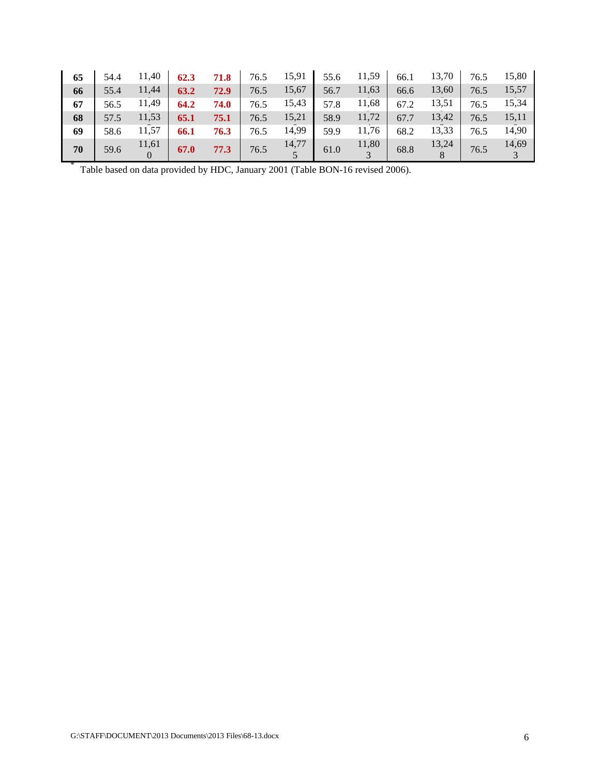| 65 | 54.4 | 11,40 | 62.3 | 71.8 | 76.5 | 15,91 | 55.6 | 11,59 | 66.1 | 13,70 | 76.5 | 15,80 |
|----|------|-------|------|------|------|-------|------|-------|------|-------|------|-------|
| 66 | 55.4 | 11,44 | 63.2 | 72.9 | 76.5 | 15,67 | 56.7 | 11,63 | 66.6 | 13,60 | 76.5 | 15,57 |
| 67 | 56.5 | 11,49 | 64.2 | 74.0 | 76.5 | 15,43 | 57.8 | 11,68 | 67.2 | 13,51 | 76.5 | 15,34 |
| 68 | 57.5 | 11,53 | 65.1 | 75.1 | 76.5 | 15,21 | 58.9 | 11,72 | 67.7 | 13,42 | 76.5 | 15,11 |
| 69 | 58.6 | 11,57 | 66.1 | 76.3 | 76.5 | 14,99 | 59.9 | 11,76 | 68.2 | 13,33 | 76.5 | 14,90 |
| 70 | 59.6 | 11,61 | 67.0 | 77.3 | 76.5 | 14,77 | 61.0 | 11,80 | 68.8 | 13,24 | 76.5 | 14,69 |

Table based on data provided by HDC, January 2001 (Table BON-16 revised 2006).

\*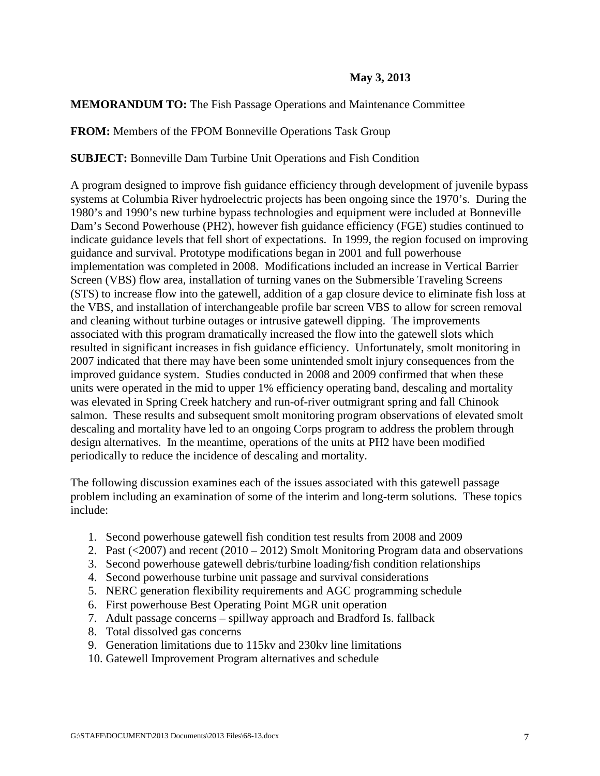### **May 3, 2013**

#### **MEMORANDUM TO:** The Fish Passage Operations and Maintenance Committee

**FROM:** Members of the FPOM Bonneville Operations Task Group

**SUBJECT:** Bonneville Dam Turbine Unit Operations and Fish Condition

A program designed to improve fish guidance efficiency through development of juvenile bypass systems at Columbia River hydroelectric projects has been ongoing since the 1970's. During the 1980's and 1990's new turbine bypass technologies and equipment were included at Bonneville Dam's Second Powerhouse (PH2), however fish guidance efficiency (FGE) studies continued to indicate guidance levels that fell short of expectations. In 1999, the region focused on improving guidance and survival. Prototype modifications began in 2001 and full powerhouse implementation was completed in 2008. Modifications included an increase in Vertical Barrier Screen (VBS) flow area, installation of turning vanes on the Submersible Traveling Screens (STS) to increase flow into the gatewell, addition of a gap closure device to eliminate fish loss at the VBS, and installation of interchangeable profile bar screen VBS to allow for screen removal and cleaning without turbine outages or intrusive gatewell dipping. The improvements associated with this program dramatically increased the flow into the gatewell slots which resulted in significant increases in fish guidance efficiency. Unfortunately, smolt monitoring in 2007 indicated that there may have been some unintended smolt injury consequences from the improved guidance system. Studies conducted in 2008 and 2009 confirmed that when these units were operated in the mid to upper 1% efficiency operating band, descaling and mortality was elevated in Spring Creek hatchery and run-of-river outmigrant spring and fall Chinook salmon. These results and subsequent smolt monitoring program observations of elevated smolt descaling and mortality have led to an ongoing Corps program to address the problem through design alternatives. In the meantime, operations of the units at PH2 have been modified periodically to reduce the incidence of descaling and mortality.

The following discussion examines each of the issues associated with this gatewell passage problem including an examination of some of the interim and long-term solutions. These topics include:

- 1. Second powerhouse gatewell fish condition test results from 2008 and 2009
- 2. Past  $(\leq 2007)$  and recent  $(2010 2012)$  Smolt Monitoring Program data and observations
- 3. Second powerhouse gatewell debris/turbine loading/fish condition relationships
- 4. Second powerhouse turbine unit passage and survival considerations
- 5. NERC generation flexibility requirements and AGC programming schedule
- 6. First powerhouse Best Operating Point MGR unit operation
- 7. Adult passage concerns spillway approach and Bradford Is. fallback
- 8. Total dissolved gas concerns
- 9. Generation limitations due to 115kv and 230kv line limitations
- 10. Gatewell Improvement Program alternatives and schedule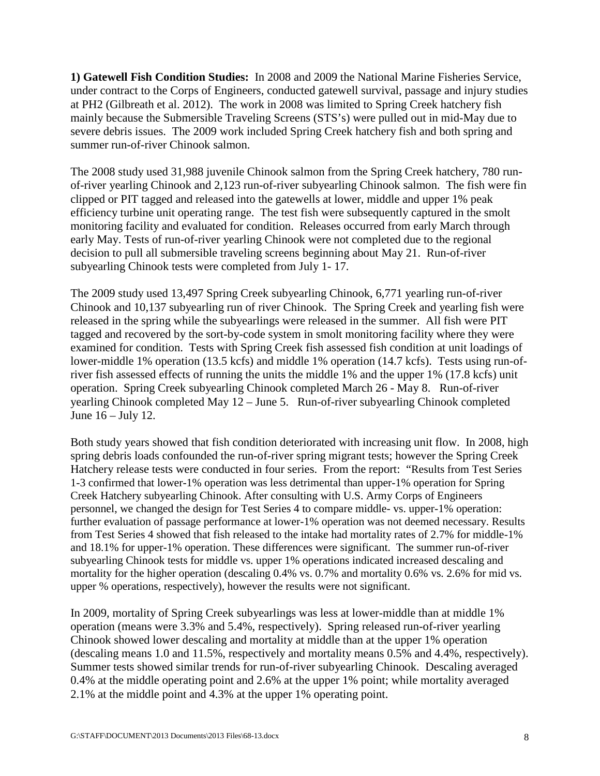**1) Gatewell Fish Condition Studies:** In 2008 and 2009 the National Marine Fisheries Service, under contract to the Corps of Engineers, conducted gatewell survival, passage and injury studies at PH2 (Gilbreath et al. 2012). The work in 2008 was limited to Spring Creek hatchery fish mainly because the Submersible Traveling Screens (STS's) were pulled out in mid-May due to severe debris issues. The 2009 work included Spring Creek hatchery fish and both spring and summer run-of-river Chinook salmon.

The 2008 study used 31,988 juvenile Chinook salmon from the Spring Creek hatchery, 780 runof-river yearling Chinook and 2,123 run-of-river subyearling Chinook salmon. The fish were fin clipped or PIT tagged and released into the gatewells at lower, middle and upper 1% peak efficiency turbine unit operating range. The test fish were subsequently captured in the smolt monitoring facility and evaluated for condition. Releases occurred from early March through early May. Tests of run-of-river yearling Chinook were not completed due to the regional decision to pull all submersible traveling screens beginning about May 21. Run-of-river subyearling Chinook tests were completed from July 1- 17.

The 2009 study used 13,497 Spring Creek subyearling Chinook, 6,771 yearling run-of-river Chinook and 10,137 subyearling run of river Chinook. The Spring Creek and yearling fish were released in the spring while the subyearlings were released in the summer. All fish were PIT tagged and recovered by the sort-by-code system in smolt monitoring facility where they were examined for condition. Tests with Spring Creek fish assessed fish condition at unit loadings of lower-middle 1% operation (13.5 kcfs) and middle 1% operation (14.7 kcfs). Tests using run-ofriver fish assessed effects of running the units the middle 1% and the upper 1% (17.8 kcfs) unit operation. Spring Creek subyearling Chinook completed March 26 - May 8. Run-of-river yearling Chinook completed May 12 – June 5. Run-of-river subyearling Chinook completed June 16 – July 12.

Both study years showed that fish condition deteriorated with increasing unit flow. In 2008, high spring debris loads confounded the run-of-river spring migrant tests; however the Spring Creek Hatchery release tests were conducted in four series. From the report: "Results from Test Series 1-3 confirmed that lower-1% operation was less detrimental than upper-1% operation for Spring Creek Hatchery subyearling Chinook. After consulting with U.S. Army Corps of Engineers personnel, we changed the design for Test Series 4 to compare middle- vs. upper-1% operation: further evaluation of passage performance at lower-1% operation was not deemed necessary. Results from Test Series 4 showed that fish released to the intake had mortality rates of 2.7% for middle-1% and 18.1% for upper-1% operation. These differences were significant. The summer run-of-river subyearling Chinook tests for middle vs. upper 1% operations indicated increased descaling and mortality for the higher operation (descaling 0.4% vs. 0.7% and mortality 0.6% vs. 2.6% for mid vs. upper % operations, respectively), however the results were not significant.

In 2009, mortality of Spring Creek subyearlings was less at lower-middle than at middle 1% operation (means were 3.3% and 5.4%, respectively). Spring released run-of-river yearling Chinook showed lower descaling and mortality at middle than at the upper 1% operation (descaling means 1.0 and 11.5%, respectively and mortality means 0.5% and 4.4%, respectively). Summer tests showed similar trends for run-of-river subyearling Chinook. Descaling averaged 0.4% at the middle operating point and 2.6% at the upper 1% point; while mortality averaged 2.1% at the middle point and 4.3% at the upper 1% operating point.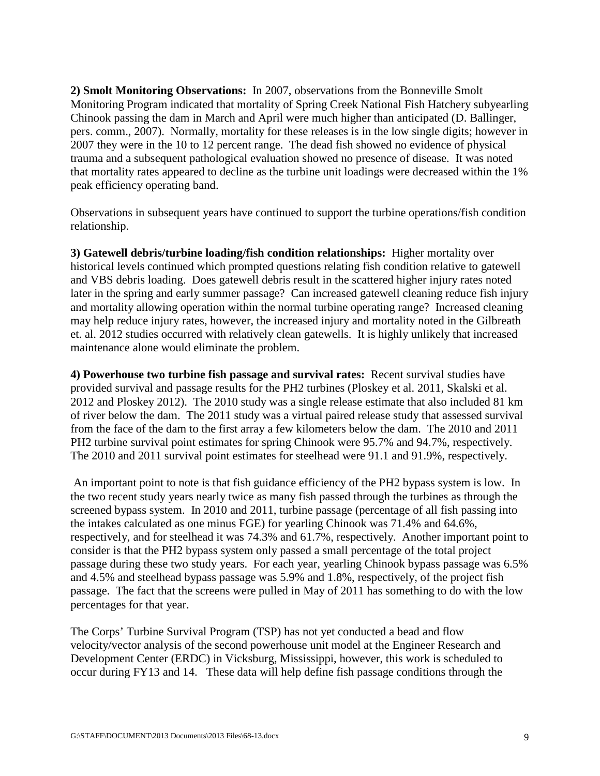**2) Smolt Monitoring Observations:** In 2007, observations from the Bonneville Smolt Monitoring Program indicated that mortality of Spring Creek National Fish Hatchery subyearling Chinook passing the dam in March and April were much higher than anticipated (D. Ballinger, pers. comm., 2007). Normally, mortality for these releases is in the low single digits; however in 2007 they were in the 10 to 12 percent range. The dead fish showed no evidence of physical trauma and a subsequent pathological evaluation showed no presence of disease. It was noted that mortality rates appeared to decline as the turbine unit loadings were decreased within the 1% peak efficiency operating band.

Observations in subsequent years have continued to support the turbine operations/fish condition relationship.

**3) Gatewell debris/turbine loading/fish condition relationships:** Higher mortality over historical levels continued which prompted questions relating fish condition relative to gatewell and VBS debris loading. Does gatewell debris result in the scattered higher injury rates noted later in the spring and early summer passage? Can increased gatewell cleaning reduce fish injury and mortality allowing operation within the normal turbine operating range? Increased cleaning may help reduce injury rates, however, the increased injury and mortality noted in the Gilbreath et. al. 2012 studies occurred with relatively clean gatewells. It is highly unlikely that increased maintenance alone would eliminate the problem.

**4) Powerhouse two turbine fish passage and survival rates:** Recent survival studies have provided survival and passage results for the PH2 turbines (Ploskey et al. 2011, Skalski et al. 2012 and Ploskey 2012). The 2010 study was a single release estimate that also included 81 km of river below the dam. The 2011 study was a virtual paired release study that assessed survival from the face of the dam to the first array a few kilometers below the dam. The 2010 and 2011 PH2 turbine survival point estimates for spring Chinook were 95.7% and 94.7%, respectively. The 2010 and 2011 survival point estimates for steelhead were 91.1 and 91.9%, respectively.

An important point to note is that fish guidance efficiency of the PH2 bypass system is low. In the two recent study years nearly twice as many fish passed through the turbines as through the screened bypass system. In 2010 and 2011, turbine passage (percentage of all fish passing into the intakes calculated as one minus FGE) for yearling Chinook was 71.4% and 64.6%, respectively, and for steelhead it was 74.3% and 61.7%, respectively. Another important point to consider is that the PH2 bypass system only passed a small percentage of the total project passage during these two study years. For each year, yearling Chinook bypass passage was 6.5% and 4.5% and steelhead bypass passage was 5.9% and 1.8%, respectively, of the project fish passage. The fact that the screens were pulled in May of 2011 has something to do with the low percentages for that year.

The Corps' Turbine Survival Program (TSP) has not yet conducted a bead and flow velocity/vector analysis of the second powerhouse unit model at the Engineer Research and Development Center (ERDC) in Vicksburg, Mississippi, however, this work is scheduled to occur during FY13 and 14. These data will help define fish passage conditions through the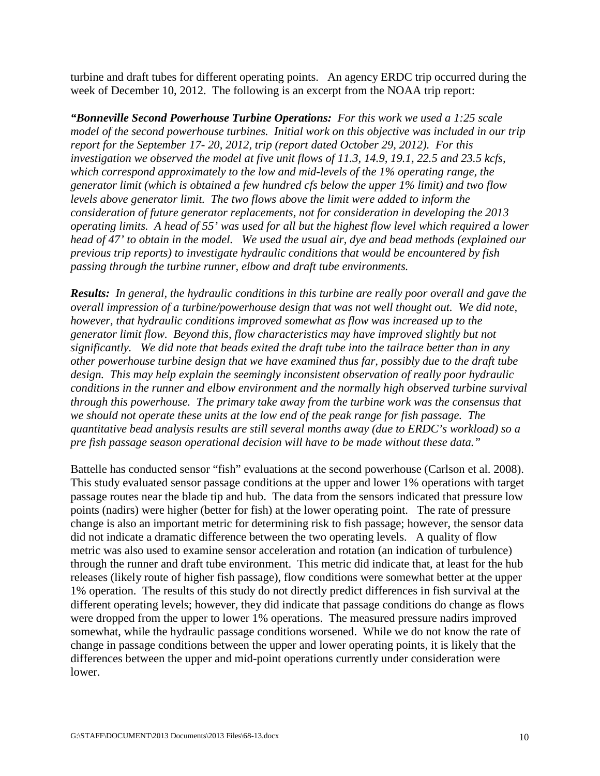turbine and draft tubes for different operating points. An agency ERDC trip occurred during the week of December 10, 2012. The following is an excerpt from the NOAA trip report:

*"Bonneville Second Powerhouse Turbine Operations: For this work we used a 1:25 scale model of the second powerhouse turbines. Initial work on this objective was included in our trip report for the September 17- 20, 2012, trip (report dated October 29, 2012). For this investigation we observed the model at five unit flows of 11.3, 14.9, 19.1, 22.5 and 23.5 kcfs, which correspond approximately to the low and mid-levels of the 1% operating range, the generator limit (which is obtained a few hundred cfs below the upper 1% limit) and two flow levels above generator limit. The two flows above the limit were added to inform the consideration of future generator replacements, not for consideration in developing the 2013 operating limits. A head of 55' was used for all but the highest flow level which required a lower head of 47' to obtain in the model. We used the usual air, dye and bead methods (explained our previous trip reports) to investigate hydraulic conditions that would be encountered by fish passing through the turbine runner, elbow and draft tube environments.*

*Results: In general, the hydraulic conditions in this turbine are really poor overall and gave the overall impression of a turbine/powerhouse design that was not well thought out. We did note, however, that hydraulic conditions improved somewhat as flow was increased up to the generator limit flow. Beyond this, flow characteristics may have improved slightly but not significantly. We did note that beads exited the draft tube into the tailrace better than in any other powerhouse turbine design that we have examined thus far, possibly due to the draft tube design. This may help explain the seemingly inconsistent observation of really poor hydraulic conditions in the runner and elbow environment and the normally high observed turbine survival through this powerhouse. The primary take away from the turbine work was the consensus that we should not operate these units at the low end of the peak range for fish passage. The quantitative bead analysis results are still several months away (due to ERDC's workload) so a pre fish passage season operational decision will have to be made without these data."*

Battelle has conducted sensor "fish" evaluations at the second powerhouse (Carlson et al. 2008). This study evaluated sensor passage conditions at the upper and lower 1% operations with target passage routes near the blade tip and hub. The data from the sensors indicated that pressure low points (nadirs) were higher (better for fish) at the lower operating point. The rate of pressure change is also an important metric for determining risk to fish passage; however, the sensor data did not indicate a dramatic difference between the two operating levels. A quality of flow metric was also used to examine sensor acceleration and rotation (an indication of turbulence) through the runner and draft tube environment. This metric did indicate that, at least for the hub releases (likely route of higher fish passage), flow conditions were somewhat better at the upper 1% operation. The results of this study do not directly predict differences in fish survival at the different operating levels; however, they did indicate that passage conditions do change as flows were dropped from the upper to lower 1% operations. The measured pressure nadirs improved somewhat, while the hydraulic passage conditions worsened. While we do not know the rate of change in passage conditions between the upper and lower operating points, it is likely that the differences between the upper and mid-point operations currently under consideration were lower.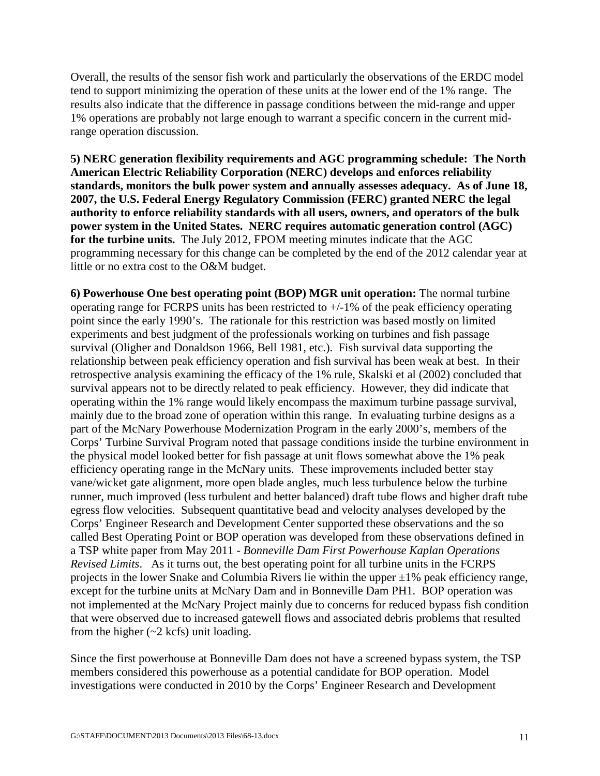Overall, the results of the sensor fish work and particularly the observations of the ERDC model tend to support minimizing the operation of these units at the lower end of the 1% range. The results also indicate that the difference in passage conditions between the mid-range and upper 1% operations are probably not large enough to warrant a specific concern in the current midrange operation discussion.

**5) NERC generation flexibility requirements and AGC programming schedule: The North American Electric Reliability Corporation (NERC) develops and enforces reliability standards, monitors the bulk power system and annually assesses adequacy. As of June 18, 2007, the U.S. Federal Energy Regulatory Commission (FERC) granted NERC the legal authority to enforce reliability standards with all users, owners, and operators of the bulk power system in the United States. NERC requires automatic generation control (AGC) for the turbine units.** The July 2012, FPOM meeting minutes indicate that the AGC programming necessary for this change can be completed by the end of the 2012 calendar year at little or no extra cost to the O&M budget.

**6) Powerhouse One best operating point (BOP) MGR unit operation:** The normal turbine operating range for FCRPS units has been restricted to +/-1% of the peak efficiency operating point since the early 1990's. The rationale for this restriction was based mostly on limited experiments and best judgment of the professionals working on turbines and fish passage survival (Oligher and Donaldson 1966, Bell 1981, etc.). Fish survival data supporting the relationship between peak efficiency operation and fish survival has been weak at best. In their retrospective analysis examining the efficacy of the 1% rule, Skalski et al (2002) concluded that survival appears not to be directly related to peak efficiency. However, they did indicate that operating within the 1% range would likely encompass the maximum turbine passage survival, mainly due to the broad zone of operation within this range. In evaluating turbine designs as a part of the McNary Powerhouse Modernization Program in the early 2000's, members of the Corps' Turbine Survival Program noted that passage conditions inside the turbine environment in the physical model looked better for fish passage at unit flows somewhat above the 1% peak efficiency operating range in the McNary units. These improvements included better stay vane/wicket gate alignment, more open blade angles, much less turbulence below the turbine runner, much improved (less turbulent and better balanced) draft tube flows and higher draft tube egress flow velocities. Subsequent quantitative bead and velocity analyses developed by the Corps' Engineer Research and Development Center supported these observations and the so called Best Operating Point or BOP operation was developed from these observations defined in a TSP white paper from May 2011 - *Bonneville Dam First Powerhouse Kaplan Operations Revised Limits*. As it turns out, the best operating point for all turbine units in the FCRPS projects in the lower Snake and Columbia Rivers lie within the upper  $\pm 1\%$  peak efficiency range, except for the turbine units at McNary Dam and in Bonneville Dam PH1. BOP operation was not implemented at the McNary Project mainly due to concerns for reduced bypass fish condition that were observed due to increased gatewell flows and associated debris problems that resulted from the higher  $(\sim 2 \text{ kcfs})$  unit loading.

Since the first powerhouse at Bonneville Dam does not have a screened bypass system, the TSP members considered this powerhouse as a potential candidate for BOP operation. Model investigations were conducted in 2010 by the Corps' Engineer Research and Development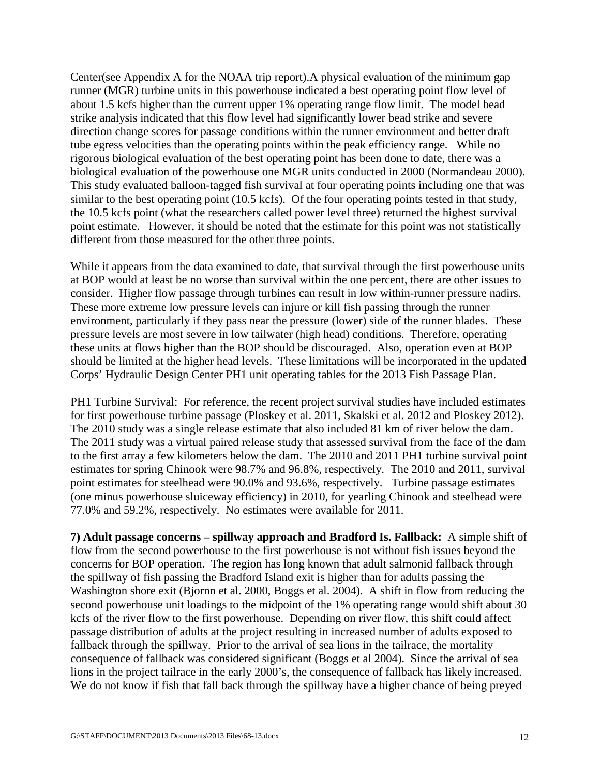Center(see Appendix A for the NOAA trip report).A physical evaluation of the minimum gap runner (MGR) turbine units in this powerhouse indicated a best operating point flow level of about 1.5 kcfs higher than the current upper 1% operating range flow limit. The model bead strike analysis indicated that this flow level had significantly lower bead strike and severe direction change scores for passage conditions within the runner environment and better draft tube egress velocities than the operating points within the peak efficiency range. While no rigorous biological evaluation of the best operating point has been done to date, there was a biological evaluation of the powerhouse one MGR units conducted in 2000 (Normandeau 2000). This study evaluated balloon-tagged fish survival at four operating points including one that was similar to the best operating point (10.5 kcfs). Of the four operating points tested in that study, the 10.5 kcfs point (what the researchers called power level three) returned the highest survival point estimate. However, it should be noted that the estimate for this point was not statistically different from those measured for the other three points.

While it appears from the data examined to date, that survival through the first powerhouse units at BOP would at least be no worse than survival within the one percent, there are other issues to consider. Higher flow passage through turbines can result in low within-runner pressure nadirs. These more extreme low pressure levels can injure or kill fish passing through the runner environment, particularly if they pass near the pressure (lower) side of the runner blades. These pressure levels are most severe in low tailwater (high head) conditions. Therefore, operating these units at flows higher than the BOP should be discouraged. Also, operation even at BOP should be limited at the higher head levels. These limitations will be incorporated in the updated Corps' Hydraulic Design Center PH1 unit operating tables for the 2013 Fish Passage Plan.

PH1 Turbine Survival: For reference, the recent project survival studies have included estimates for first powerhouse turbine passage (Ploskey et al. 2011, Skalski et al. 2012 and Ploskey 2012). The 2010 study was a single release estimate that also included 81 km of river below the dam. The 2011 study was a virtual paired release study that assessed survival from the face of the dam to the first array a few kilometers below the dam. The 2010 and 2011 PH1 turbine survival point estimates for spring Chinook were 98.7% and 96.8%, respectively. The 2010 and 2011, survival point estimates for steelhead were 90.0% and 93.6%, respectively. Turbine passage estimates (one minus powerhouse sluiceway efficiency) in 2010, for yearling Chinook and steelhead were 77.0% and 59.2%, respectively. No estimates were available for 2011.

**7) Adult passage concerns – spillway approach and Bradford Is. Fallback:** A simple shift of flow from the second powerhouse to the first powerhouse is not without fish issues beyond the concerns for BOP operation. The region has long known that adult salmonid fallback through the spillway of fish passing the Bradford Island exit is higher than for adults passing the Washington shore exit (Bjornn et al. 2000, Boggs et al. 2004). A shift in flow from reducing the second powerhouse unit loadings to the midpoint of the 1% operating range would shift about 30 kcfs of the river flow to the first powerhouse. Depending on river flow, this shift could affect passage distribution of adults at the project resulting in increased number of adults exposed to fallback through the spillway. Prior to the arrival of sea lions in the tailrace, the mortality consequence of fallback was considered significant (Boggs et al 2004). Since the arrival of sea lions in the project tailrace in the early 2000's, the consequence of fallback has likely increased. We do not know if fish that fall back through the spillway have a higher chance of being preyed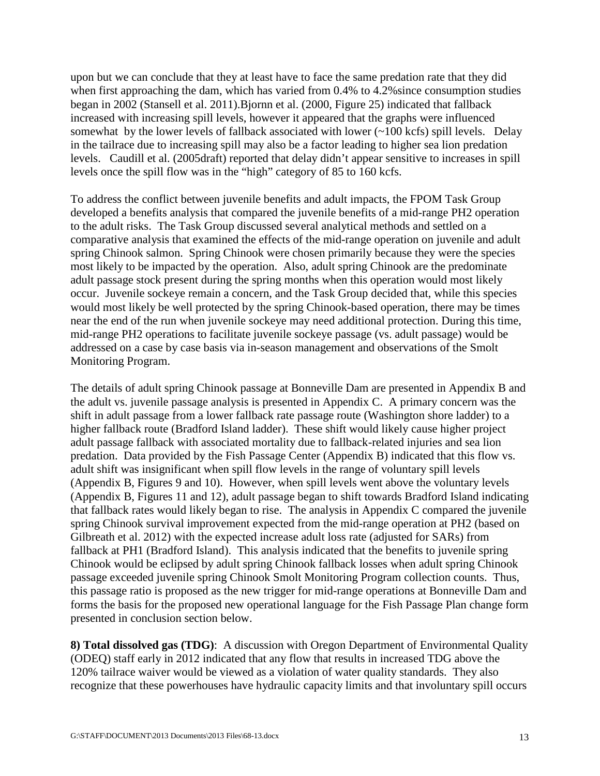upon but we can conclude that they at least have to face the same predation rate that they did when first approaching the dam, which has varied from 0.4% to 4.2%since consumption studies began in 2002 (Stansell et al. 2011).Bjornn et al. (2000, Figure 25) indicated that fallback increased with increasing spill levels, however it appeared that the graphs were influenced somewhat by the lower levels of fallback associated with lower  $(\sim 100 \text{ kcfs})$  spill levels. Delay in the tailrace due to increasing spill may also be a factor leading to higher sea lion predation levels. Caudill et al. (2005draft) reported that delay didn't appear sensitive to increases in spill levels once the spill flow was in the "high" category of 85 to 160 kcfs.

To address the conflict between juvenile benefits and adult impacts, the FPOM Task Group developed a benefits analysis that compared the juvenile benefits of a mid-range PH2 operation to the adult risks. The Task Group discussed several analytical methods and settled on a comparative analysis that examined the effects of the mid-range operation on juvenile and adult spring Chinook salmon. Spring Chinook were chosen primarily because they were the species most likely to be impacted by the operation. Also, adult spring Chinook are the predominate adult passage stock present during the spring months when this operation would most likely occur. Juvenile sockeye remain a concern, and the Task Group decided that, while this species would most likely be well protected by the spring Chinook-based operation, there may be times near the end of the run when juvenile sockeye may need additional protection. During this time, mid-range PH2 operations to facilitate juvenile sockeye passage (vs. adult passage) would be addressed on a case by case basis via in-season management and observations of the Smolt Monitoring Program.

The details of adult spring Chinook passage at Bonneville Dam are presented in Appendix B and the adult vs. juvenile passage analysis is presented in Appendix C. A primary concern was the shift in adult passage from a lower fallback rate passage route (Washington shore ladder) to a higher fallback route (Bradford Island ladder). These shift would likely cause higher project adult passage fallback with associated mortality due to fallback-related injuries and sea lion predation. Data provided by the Fish Passage Center (Appendix B) indicated that this flow vs. adult shift was insignificant when spill flow levels in the range of voluntary spill levels (Appendix B, Figures 9 and 10). However, when spill levels went above the voluntary levels (Appendix B, Figures 11 and 12), adult passage began to shift towards Bradford Island indicating that fallback rates would likely began to rise. The analysis in Appendix C compared the juvenile spring Chinook survival improvement expected from the mid-range operation at PH2 (based on Gilbreath et al. 2012) with the expected increase adult loss rate (adjusted for SARs) from fallback at PH1 (Bradford Island). This analysis indicated that the benefits to juvenile spring Chinook would be eclipsed by adult spring Chinook fallback losses when adult spring Chinook passage exceeded juvenile spring Chinook Smolt Monitoring Program collection counts. Thus, this passage ratio is proposed as the new trigger for mid-range operations at Bonneville Dam and forms the basis for the proposed new operational language for the Fish Passage Plan change form presented in conclusion section below.

**8) Total dissolved gas (TDG)**: A discussion with Oregon Department of Environmental Quality (ODEQ) staff early in 2012 indicated that any flow that results in increased TDG above the 120% tailrace waiver would be viewed as a violation of water quality standards. They also recognize that these powerhouses have hydraulic capacity limits and that involuntary spill occurs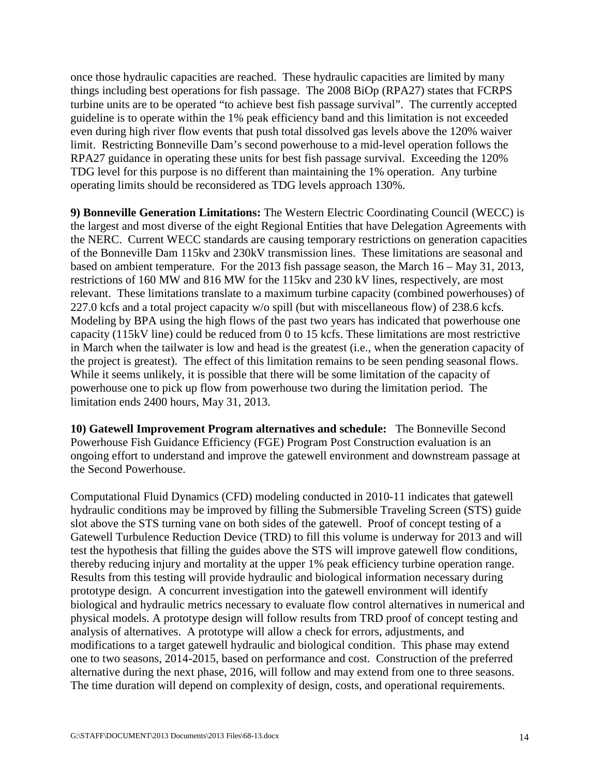once those hydraulic capacities are reached. These hydraulic capacities are limited by many things including best operations for fish passage. The 2008 BiOp (RPA27) states that FCRPS turbine units are to be operated "to achieve best fish passage survival". The currently accepted guideline is to operate within the 1% peak efficiency band and this limitation is not exceeded even during high river flow events that push total dissolved gas levels above the 120% waiver limit. Restricting Bonneville Dam's second powerhouse to a mid-level operation follows the RPA27 guidance in operating these units for best fish passage survival. Exceeding the 120% TDG level for this purpose is no different than maintaining the 1% operation. Any turbine operating limits should be reconsidered as TDG levels approach 130%.

**9) Bonneville Generation Limitations:** The Western Electric Coordinating Council (WECC) is the largest and most diverse of the eight Regional Entities that have Delegation Agreements with the NERC. Current WECC standards are causing temporary restrictions on generation capacities of the Bonneville Dam 115kv and 230kV transmission lines. These limitations are seasonal and based on ambient temperature. For the 2013 fish passage season, the March 16 – May 31, 2013, restrictions of 160 MW and 816 MW for the 115kv and 230 kV lines, respectively, are most relevant. These limitations translate to a maximum turbine capacity (combined powerhouses) of 227.0 kcfs and a total project capacity w/o spill (but with miscellaneous flow) of 238.6 kcfs. Modeling by BPA using the high flows of the past two years has indicated that powerhouse one capacity (115kV line) could be reduced from 0 to 15 kcfs. These limitations are most restrictive in March when the tailwater is low and head is the greatest (i.e., when the generation capacity of the project is greatest). The effect of this limitation remains to be seen pending seasonal flows. While it seems unlikely, it is possible that there will be some limitation of the capacity of powerhouse one to pick up flow from powerhouse two during the limitation period. The limitation ends 2400 hours, May 31, 2013.

**10) Gatewell Improvement Program alternatives and schedule:** The Bonneville Second Powerhouse Fish Guidance Efficiency (FGE) Program Post Construction evaluation is an ongoing effort to understand and improve the gatewell environment and downstream passage at the Second Powerhouse.

Computational Fluid Dynamics (CFD) modeling conducted in 2010-11 indicates that gatewell hydraulic conditions may be improved by filling the Submersible Traveling Screen (STS) guide slot above the STS turning vane on both sides of the gatewell. Proof of concept testing of a Gatewell Turbulence Reduction Device (TRD) to fill this volume is underway for 2013 and will test the hypothesis that filling the guides above the STS will improve gatewell flow conditions, thereby reducing injury and mortality at the upper 1% peak efficiency turbine operation range. Results from this testing will provide hydraulic and biological information necessary during prototype design. A concurrent investigation into the gatewell environment will identify biological and hydraulic metrics necessary to evaluate flow control alternatives in numerical and physical models. A prototype design will follow results from TRD proof of concept testing and analysis of alternatives. A prototype will allow a check for errors, adjustments, and modifications to a target gatewell hydraulic and biological condition. This phase may extend one to two seasons, 2014-2015, based on performance and cost. Construction of the preferred alternative during the next phase, 2016, will follow and may extend from one to three seasons. The time duration will depend on complexity of design, costs, and operational requirements.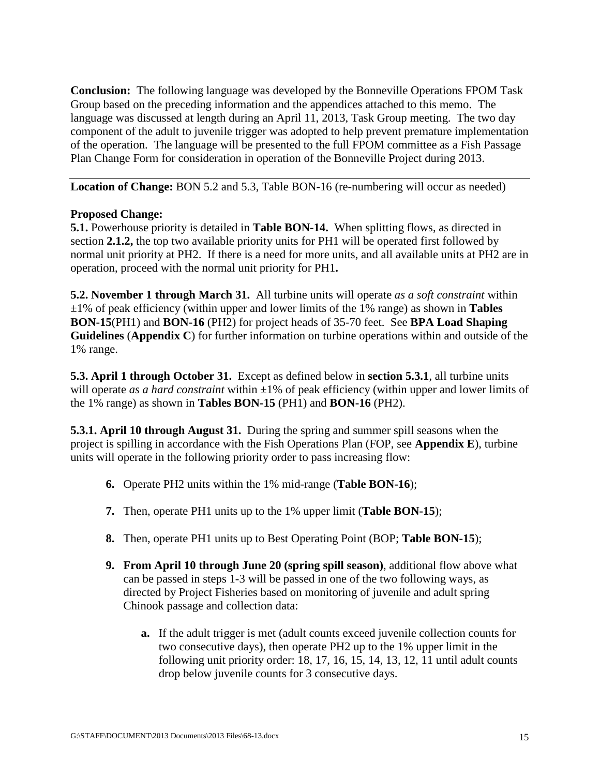**Conclusion:** The following language was developed by the Bonneville Operations FPOM Task Group based on the preceding information and the appendices attached to this memo. The language was discussed at length during an April 11, 2013, Task Group meeting. The two day component of the adult to juvenile trigger was adopted to help prevent premature implementation of the operation. The language will be presented to the full FPOM committee as a Fish Passage Plan Change Form for consideration in operation of the Bonneville Project during 2013.

**Location of Change: BON 5.2 and 5.3, Table BON-16 (re-numbering will occur as needed)** 

#### **Proposed Change:**

**5.1.** Powerhouse priority is detailed in **Table BON-14.** When splitting flows, as directed in section **2.1.2,** the top two available priority units for PH1 will be operated first followed by normal unit priority at PH2. If there is a need for more units, and all available units at PH2 are in operation, proceed with the normal unit priority for PH1**.** 

**5.2. November 1 through March 31.** All turbine units will operate *as a soft constraint* within ±1% of peak efficiency (within upper and lower limits of the 1% range) as shown in **Tables BON-15**(PH1) and **BON-16** (PH2) for project heads of 35-70 feet. See **BPA Load Shaping Guidelines** (**Appendix C**) for further information on turbine operations within and outside of the 1% range.

**5.3. April 1 through October 31.** Except as defined below in **section 5.3.1**, all turbine units will operate *as a hard constraint* within  $\pm 1\%$  of peak efficiency (within upper and lower limits of the 1% range) as shown in **Tables BON-15** (PH1) and **BON-16** (PH2).

**5.3.1. April 10 through August 31.** During the spring and summer spill seasons when the project is spilling in accordance with the Fish Operations Plan (FOP, see **Appendix E**), turbine units will operate in the following priority order to pass increasing flow:

- **6.** Operate PH2 units within the 1% mid-range (**Table BON-16**);
- **7.** Then, operate PH1 units up to the 1% upper limit (**Table BON-15**);
- **8.** Then, operate PH1 units up to Best Operating Point (BOP; **Table BON-15**);
- **9. From April 10 through June 20 (spring spill season)**, additional flow above what can be passed in steps 1-3 will be passed in one of the two following ways, as directed by Project Fisheries based on monitoring of juvenile and adult spring Chinook passage and collection data:
	- **a.** If the adult trigger is met (adult counts exceed juvenile collection counts for two consecutive days), then operate PH2 up to the 1% upper limit in the following unit priority order: 18, 17, 16, 15, 14, 13, 12, 11 until adult counts drop below juvenile counts for 3 consecutive days.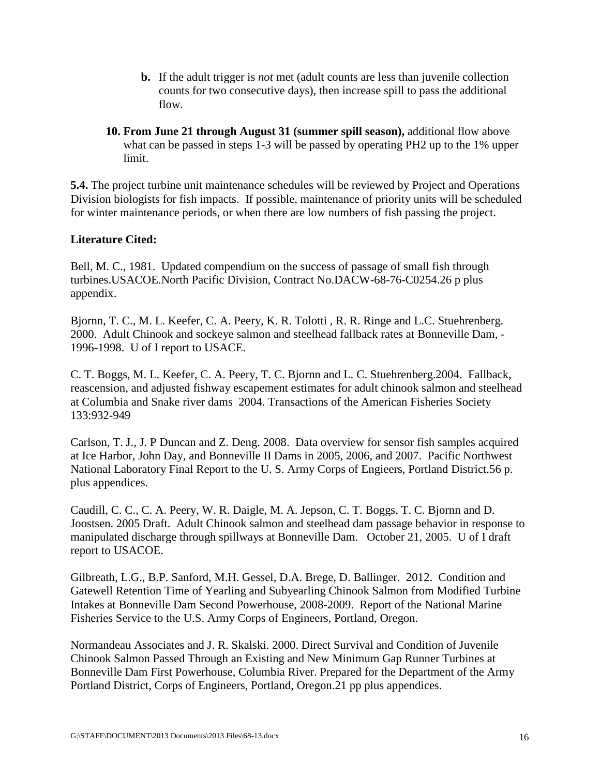- **b.** If the adult trigger is *not* met (adult counts are less than juvenile collection counts for two consecutive days), then increase spill to pass the additional flow.
- **10. From June 21 through August 31 (summer spill season),** additional flow above what can be passed in steps 1-3 will be passed by operating PH2 up to the 1% upper limit.

**5.4.** The project turbine unit maintenance schedules will be reviewed by Project and Operations Division biologists for fish impacts. If possible, maintenance of priority units will be scheduled for winter maintenance periods, or when there are low numbers of fish passing the project.

### **Literature Cited:**

Bell, M. C., 1981. Updated compendium on the success of passage of small fish through turbines.USACOE.North Pacific Division, Contract No.DACW-68-76-C0254.26 p plus appendix.

Bjornn, T. C., M. L. Keefer, C. A. Peery, K. R. Tolotti , R. R. Ringe and L.C. Stuehrenberg. 2000. Adult Chinook and sockeye salmon and steelhead fallback rates at Bonneville Dam, - 1996-1998. U of I report to USACE.

C. T. Boggs, M. L. Keefer, C. A. Peery, T. C. Bjornn and L. C. Stuehrenberg.2004. Fallback, reascension, and adjusted fishway escapement estimates for adult chinook salmon and steelhead at Columbia and Snake river dams 2004. Transactions of the American Fisheries Society 133:932-949

Carlson, T. J., J. P Duncan and Z. Deng. 2008. Data overview for sensor fish samples acquired at Ice Harbor, John Day, and Bonneville II Dams in 2005, 2006, and 2007. Pacific Northwest National Laboratory Final Report to the U. S. Army Corps of Engieers, Portland District.56 p. plus appendices.

Caudill, C. C., C. A. Peery, W. R. Daigle, M. A. Jepson, C. T. Boggs, T. C. Bjornn and D. Joostsen. 2005 Draft. Adult Chinook salmon and steelhead dam passage behavior in response to manipulated discharge through spillways at Bonneville Dam. October 21, 2005. U of I draft report to USACOE.

Gilbreath, L.G., B.P. Sanford, M.H. Gessel, D.A. Brege, D. Ballinger. 2012. Condition and Gatewell Retention Time of Yearling and Subyearling Chinook Salmon from Modified Turbine Intakes at Bonneville Dam Second Powerhouse, 2008-2009. Report of the National Marine Fisheries Service to the U.S. Army Corps of Engineers, Portland, Oregon.

Normandeau Associates and J. R. Skalski. 2000. Direct Survival and Condition of Juvenile Chinook Salmon Passed Through an Existing and New Minimum Gap Runner Turbines at Bonneville Dam First Powerhouse, Columbia River. Prepared for the Department of the Army Portland District, Corps of Engineers, Portland, Oregon.21 pp plus appendices.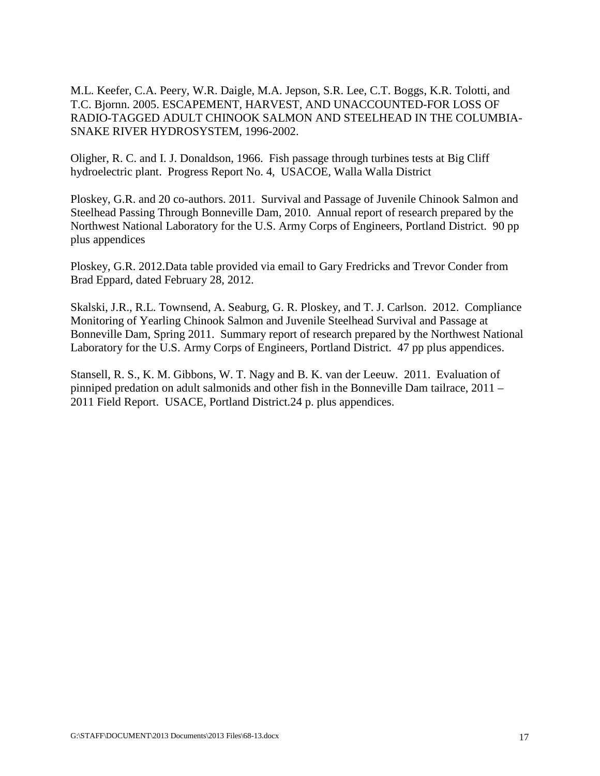M.L. Keefer, C.A. Peery, W.R. Daigle, M.A. Jepson, S.R. Lee, C.T. Boggs, K.R. Tolotti, and T.C. Bjornn. 2005. ESCAPEMENT, HARVEST, AND UNACCOUNTED-FOR LOSS OF RADIO-TAGGED ADULT CHINOOK SALMON AND STEELHEAD IN THE COLUMBIA-SNAKE RIVER HYDROSYSTEM, 1996-2002.

Oligher, R. C. and I. J. Donaldson, 1966. Fish passage through turbines tests at Big Cliff hydroelectric plant. Progress Report No. 4, USACOE, Walla Walla District

Ploskey, G.R. and 20 co-authors. 2011. Survival and Passage of Juvenile Chinook Salmon and Steelhead Passing Through Bonneville Dam, 2010. Annual report of research prepared by the Northwest National Laboratory for the U.S. Army Corps of Engineers, Portland District. 90 pp plus appendices

Ploskey, G.R. 2012.Data table provided via email to Gary Fredricks and Trevor Conder from Brad Eppard, dated February 28, 2012.

Skalski, J.R., R.L. Townsend, A. Seaburg, G. R. Ploskey, and T. J. Carlson. 2012. Compliance Monitoring of Yearling Chinook Salmon and Juvenile Steelhead Survival and Passage at Bonneville Dam, Spring 2011. Summary report of research prepared by the Northwest National Laboratory for the U.S. Army Corps of Engineers, Portland District. 47 pp plus appendices.

Stansell, R. S., K. M. Gibbons, W. T. Nagy and B. K. van der Leeuw. 2011. Evaluation of pinniped predation on adult salmonids and other fish in the Bonneville Dam tailrace, 2011 – 2011 Field Report. USACE, Portland District.24 p. plus appendices.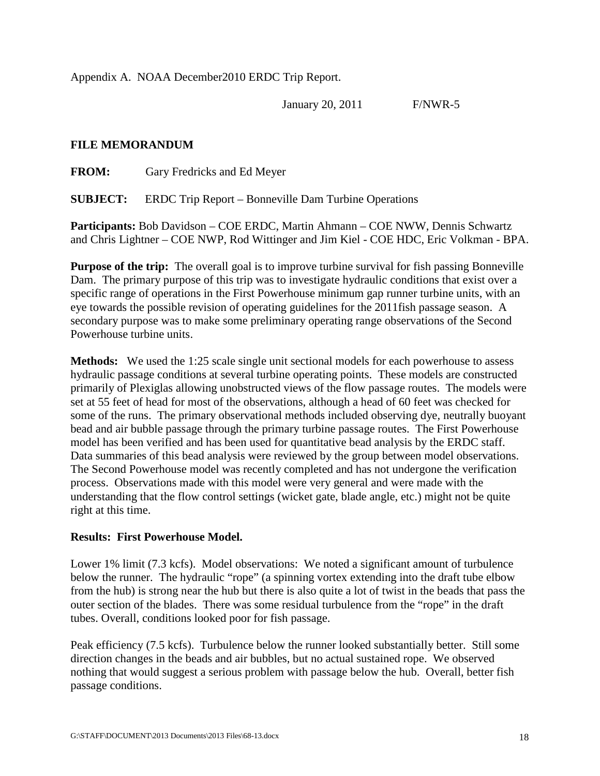Appendix A. NOAA December2010 ERDC Trip Report.

January 20, 2011 F/NWR-5

#### **FILE MEMORANDUM**

**FROM:** Gary Fredricks and Ed Meyer

**SUBJECT:** ERDC Trip Report – Bonneville Dam Turbine Operations

**Participants:** Bob Davidson – COE ERDC, Martin Ahmann – COE NWW, Dennis Schwartz and Chris Lightner – COE NWP, Rod Wittinger and Jim Kiel - COE HDC, Eric Volkman - BPA.

**Purpose of the trip:** The overall goal is to improve turbine survival for fish passing Bonneville Dam. The primary purpose of this trip was to investigate hydraulic conditions that exist over a specific range of operations in the First Powerhouse minimum gap runner turbine units, with an eye towards the possible revision of operating guidelines for the 2011fish passage season. A secondary purpose was to make some preliminary operating range observations of the Second Powerhouse turbine units.

**Methods:** We used the 1:25 scale single unit sectional models for each powerhouse to assess hydraulic passage conditions at several turbine operating points. These models are constructed primarily of Plexiglas allowing unobstructed views of the flow passage routes. The models were set at 55 feet of head for most of the observations, although a head of 60 feet was checked for some of the runs. The primary observational methods included observing dye, neutrally buoyant bead and air bubble passage through the primary turbine passage routes. The First Powerhouse model has been verified and has been used for quantitative bead analysis by the ERDC staff. Data summaries of this bead analysis were reviewed by the group between model observations. The Second Powerhouse model was recently completed and has not undergone the verification process. Observations made with this model were very general and were made with the understanding that the flow control settings (wicket gate, blade angle, etc.) might not be quite right at this time.

#### **Results: First Powerhouse Model.**

Lower 1% limit (7.3 kcfs). Model observations: We noted a significant amount of turbulence below the runner. The hydraulic "rope" (a spinning vortex extending into the draft tube elbow from the hub) is strong near the hub but there is also quite a lot of twist in the beads that pass the outer section of the blades. There was some residual turbulence from the "rope" in the draft tubes. Overall, conditions looked poor for fish passage.

Peak efficiency (7.5 kcfs). Turbulence below the runner looked substantially better. Still some direction changes in the beads and air bubbles, but no actual sustained rope. We observed nothing that would suggest a serious problem with passage below the hub. Overall, better fish passage conditions.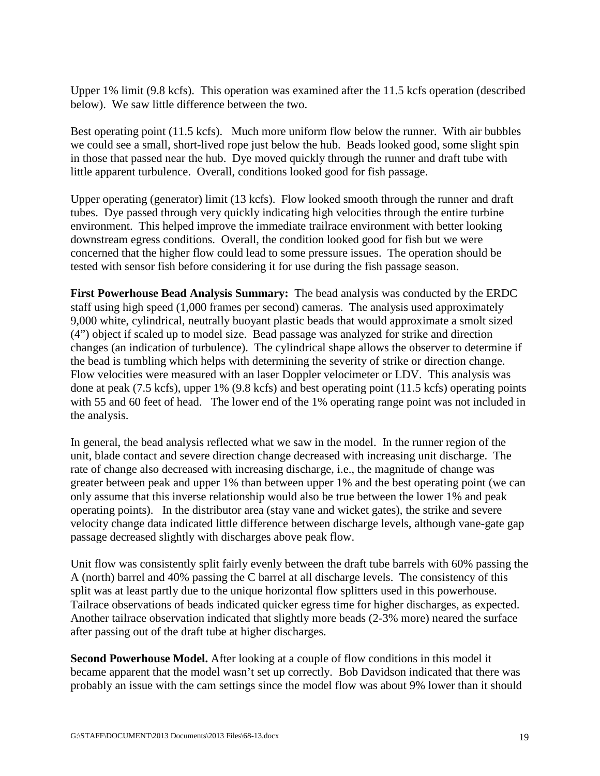Upper 1% limit (9.8 kcfs). This operation was examined after the 11.5 kcfs operation (described below). We saw little difference between the two.

Best operating point (11.5 kcfs). Much more uniform flow below the runner. With air bubbles we could see a small, short-lived rope just below the hub. Beads looked good, some slight spin in those that passed near the hub. Dye moved quickly through the runner and draft tube with little apparent turbulence. Overall, conditions looked good for fish passage.

Upper operating (generator) limit (13 kcfs). Flow looked smooth through the runner and draft tubes. Dye passed through very quickly indicating high velocities through the entire turbine environment. This helped improve the immediate trailrace environment with better looking downstream egress conditions. Overall, the condition looked good for fish but we were concerned that the higher flow could lead to some pressure issues. The operation should be tested with sensor fish before considering it for use during the fish passage season.

**First Powerhouse Bead Analysis Summary:** The bead analysis was conducted by the ERDC staff using high speed (1,000 frames per second) cameras. The analysis used approximately 9,000 white, cylindrical, neutrally buoyant plastic beads that would approximate a smolt sized (4") object if scaled up to model size. Bead passage was analyzed for strike and direction changes (an indication of turbulence). The cylindrical shape allows the observer to determine if the bead is tumbling which helps with determining the severity of strike or direction change. Flow velocities were measured with an laser Doppler velocimeter or LDV. This analysis was done at peak (7.5 kcfs), upper 1% (9.8 kcfs) and best operating point (11.5 kcfs) operating points with 55 and 60 feet of head. The lower end of the 1% operating range point was not included in the analysis.

In general, the bead analysis reflected what we saw in the model. In the runner region of the unit, blade contact and severe direction change decreased with increasing unit discharge. The rate of change also decreased with increasing discharge, i.e., the magnitude of change was greater between peak and upper 1% than between upper 1% and the best operating point (we can only assume that this inverse relationship would also be true between the lower 1% and peak operating points). In the distributor area (stay vane and wicket gates), the strike and severe velocity change data indicated little difference between discharge levels, although vane-gate gap passage decreased slightly with discharges above peak flow.

Unit flow was consistently split fairly evenly between the draft tube barrels with 60% passing the A (north) barrel and 40% passing the C barrel at all discharge levels. The consistency of this split was at least partly due to the unique horizontal flow splitters used in this powerhouse. Tailrace observations of beads indicated quicker egress time for higher discharges, as expected. Another tailrace observation indicated that slightly more beads (2-3% more) neared the surface after passing out of the draft tube at higher discharges.

**Second Powerhouse Model.** After looking at a couple of flow conditions in this model it became apparent that the model wasn't set up correctly. Bob Davidson indicated that there was probably an issue with the cam settings since the model flow was about 9% lower than it should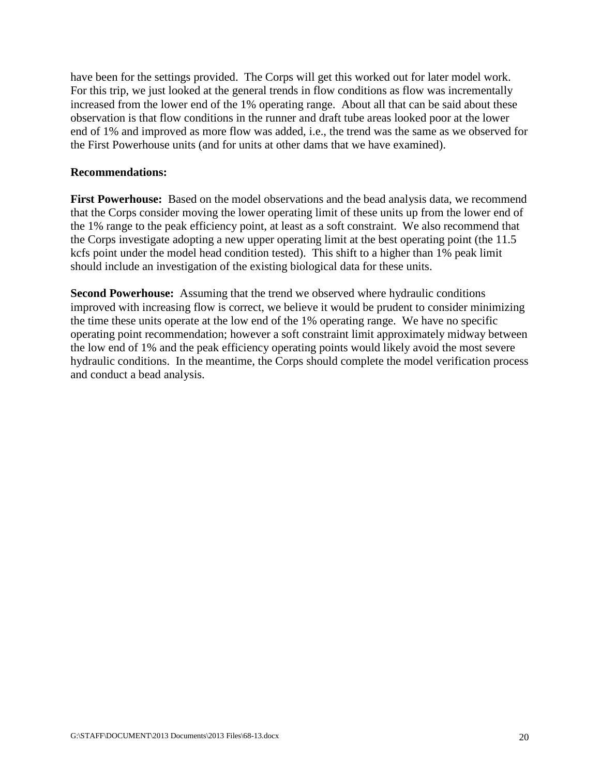have been for the settings provided. The Corps will get this worked out for later model work. For this trip, we just looked at the general trends in flow conditions as flow was incrementally increased from the lower end of the 1% operating range. About all that can be said about these observation is that flow conditions in the runner and draft tube areas looked poor at the lower end of 1% and improved as more flow was added, i.e., the trend was the same as we observed for the First Powerhouse units (and for units at other dams that we have examined).

#### **Recommendations:**

**First Powerhouse:** Based on the model observations and the bead analysis data, we recommend that the Corps consider moving the lower operating limit of these units up from the lower end of the 1% range to the peak efficiency point, at least as a soft constraint. We also recommend that the Corps investigate adopting a new upper operating limit at the best operating point (the 11.5 kcfs point under the model head condition tested). This shift to a higher than 1% peak limit should include an investigation of the existing biological data for these units.

**Second Powerhouse:** Assuming that the trend we observed where hydraulic conditions improved with increasing flow is correct, we believe it would be prudent to consider minimizing the time these units operate at the low end of the 1% operating range. We have no specific operating point recommendation; however a soft constraint limit approximately midway between the low end of 1% and the peak efficiency operating points would likely avoid the most severe hydraulic conditions. In the meantime, the Corps should complete the model verification process and conduct a bead analysis.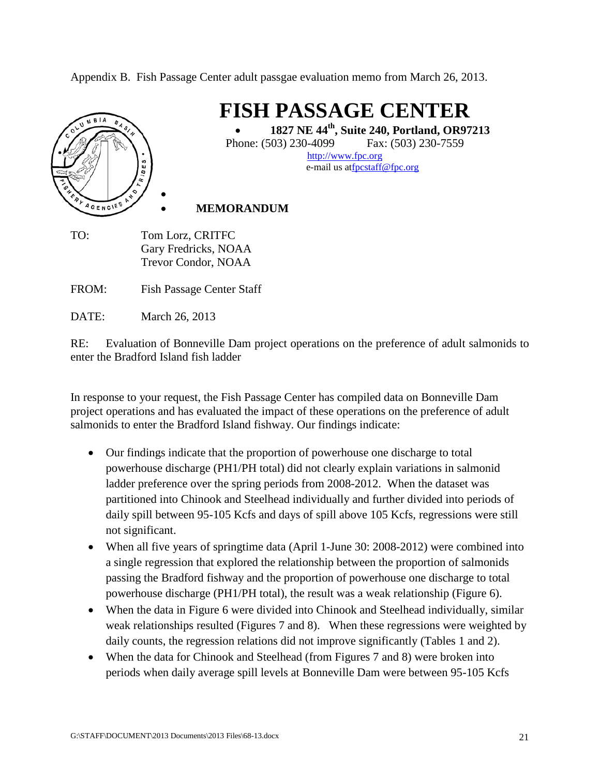Appendix B. Fish Passage Center adult passgae evaluation memo from March 26, 2013.



DATE: March 26, 2013

RE: Evaluation of Bonneville Dam project operations on the preference of adult salmonids to enter the Bradford Island fish ladder

In response to your request, the Fish Passage Center has compiled data on Bonneville Dam project operations and has evaluated the impact of these operations on the preference of adult salmonids to enter the Bradford Island fishway. Our findings indicate:

- Our findings indicate that the proportion of powerhouse one discharge to total powerhouse discharge (PH1/PH total) did not clearly explain variations in salmonid ladder preference over the spring periods from 2008-2012. When the dataset was partitioned into Chinook and Steelhead individually and further divided into periods of daily spill between 95-105 Kcfs and days of spill above 105 Kcfs, regressions were still not significant.
- When all five years of springtime data (April 1-June 30: 2008-2012) were combined into a single regression that explored the relationship between the proportion of salmonids passing the Bradford fishway and the proportion of powerhouse one discharge to total powerhouse discharge (PH1/PH total), the result was a weak relationship (Figure 6).
- When the data in Figure 6 were divided into Chinook and Steelhead individually, similar weak relationships resulted (Figures 7 and 8). When these regressions were weighted by daily counts, the regression relations did not improve significantly (Tables 1 and 2).
- When the data for Chinook and Steelhead (from Figures 7 and 8) were broken into periods when daily average spill levels at Bonneville Dam were between 95-105 Kcfs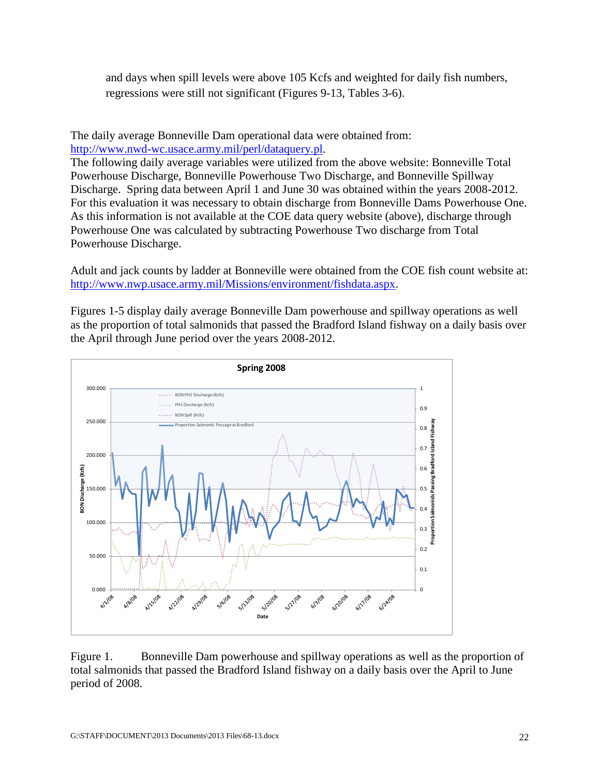and days when spill levels were above 105 Kcfs and weighted for daily fish numbers, regressions were still not significant (Figures 9-13, Tables 3-6).

The daily average Bonneville Dam operational data were obtained from: [http://www.nwd-wc.usace.army.mil/perl/dataquery.pl.](http://www.nwd-wc.usace.army.mil/perl/dataquery.pl)

The following daily average variables were utilized from the above website: Bonneville Total Powerhouse Discharge, Bonneville Powerhouse Two Discharge, and Bonneville Spillway Discharge. Spring data between April 1 and June 30 was obtained within the years 2008-2012. For this evaluation it was necessary to obtain discharge from Bonneville Dams Powerhouse One. As this information is not available at the COE data query website (above), discharge through Powerhouse One was calculated by subtracting Powerhouse Two discharge from Total Powerhouse Discharge.

Adult and jack counts by ladder at Bonneville were obtained from the COE fish count website at: [http://www.nwp.usace.army.mil/Missions/environment/fishdata.aspx.](http://www.nwp.usace.army.mil/Missions/environment/fishdata.aspx)

Figures 1-5 display daily average Bonneville Dam powerhouse and spillway operations as well as the proportion of total salmonids that passed the Bradford Island fishway on a daily basis over the April through June period over the years 2008-2012.



Figure 1. Bonneville Dam powerhouse and spillway operations as well as the proportion of total salmonids that passed the Bradford Island fishway on a daily basis over the April to June period of 2008.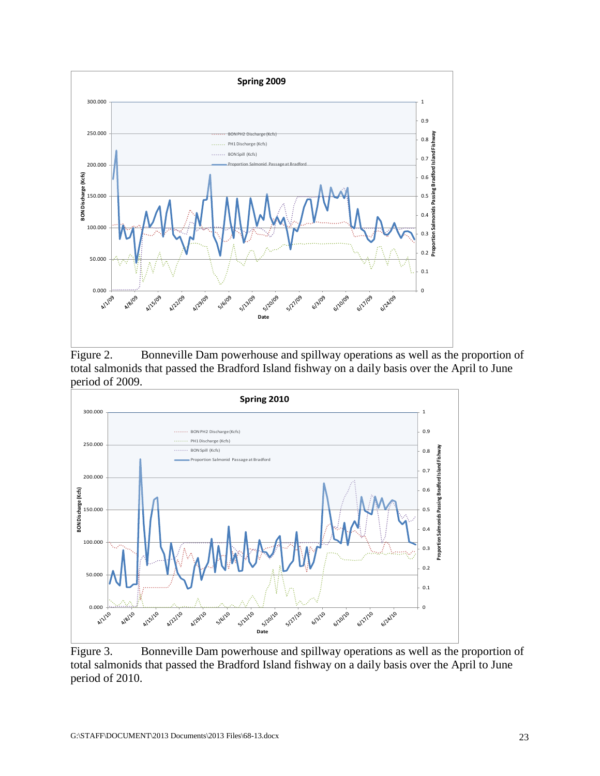

Figure 2. Bonneville Dam powerhouse and spillway operations as well as the proportion of total salmonids that passed the Bradford Island fishway on a daily basis over the April to June period of 2009.



Figure 3. Bonneville Dam powerhouse and spillway operations as well as the proportion of total salmonids that passed the Bradford Island fishway on a daily basis over the April to June period of 2010.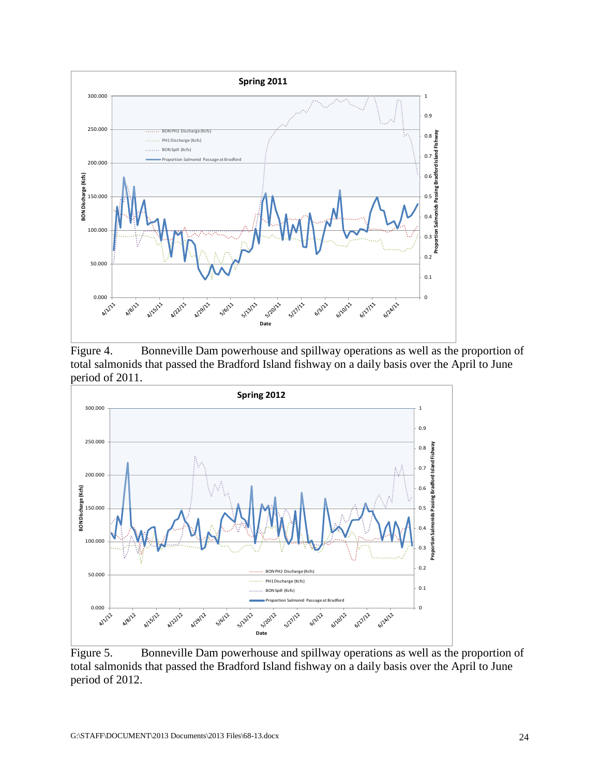

Figure 4. Bonneville Dam powerhouse and spillway operations as well as the proportion of total salmonids that passed the Bradford Island fishway on a daily basis over the April to June period of 2011.



Figure 5. Bonneville Dam powerhouse and spillway operations as well as the proportion of total salmonids that passed the Bradford Island fishway on a daily basis over the April to June period of 2012.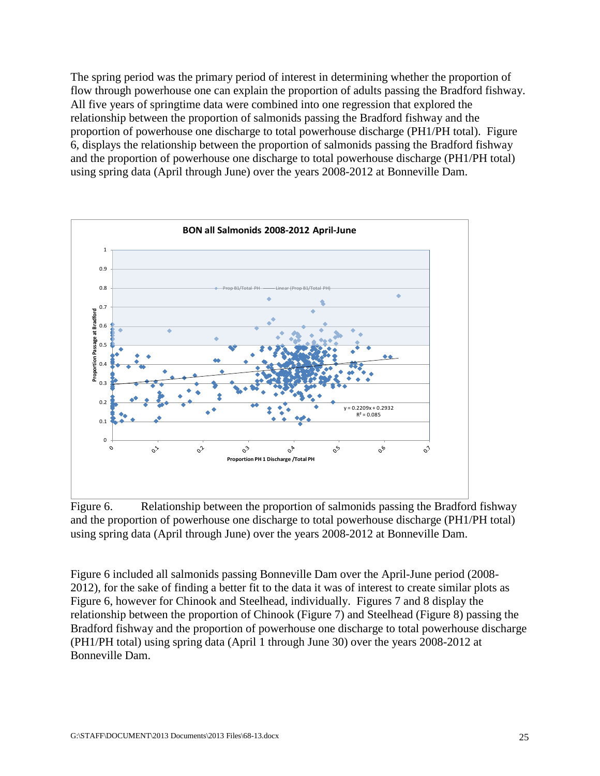The spring period was the primary period of interest in determining whether the proportion of flow through powerhouse one can explain the proportion of adults passing the Bradford fishway. All five years of springtime data were combined into one regression that explored the relationship between the proportion of salmonids passing the Bradford fishway and the proportion of powerhouse one discharge to total powerhouse discharge (PH1/PH total). Figure 6, displays the relationship between the proportion of salmonids passing the Bradford fishway and the proportion of powerhouse one discharge to total powerhouse discharge (PH1/PH total) using spring data (April through June) over the years 2008-2012 at Bonneville Dam.



Figure 6. Relationship between the proportion of salmonids passing the Bradford fishway and the proportion of powerhouse one discharge to total powerhouse discharge (PH1/PH total) using spring data (April through June) over the years 2008-2012 at Bonneville Dam.

Figure 6 included all salmonids passing Bonneville Dam over the April-June period (2008- 2012), for the sake of finding a better fit to the data it was of interest to create similar plots as Figure 6, however for Chinook and Steelhead, individually. Figures 7 and 8 display the relationship between the proportion of Chinook (Figure 7) and Steelhead (Figure 8) passing the Bradford fishway and the proportion of powerhouse one discharge to total powerhouse discharge (PH1/PH total) using spring data (April 1 through June 30) over the years 2008-2012 at Bonneville Dam.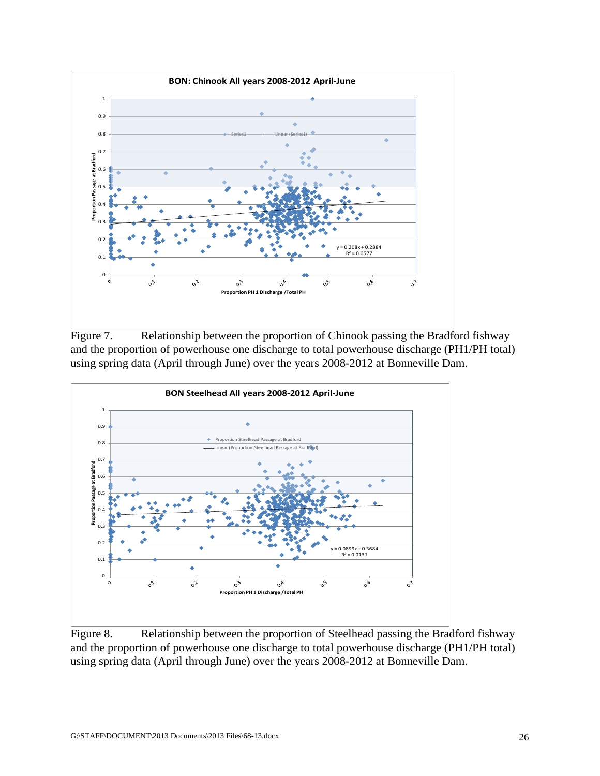

Figure 7. Relationship between the proportion of Chinook passing the Bradford fishway and the proportion of powerhouse one discharge to total powerhouse discharge (PH1/PH total) using spring data (April through June) over the years 2008-2012 at Bonneville Dam.



Figure 8. Relationship between the proportion of Steelhead passing the Bradford fishway and the proportion of powerhouse one discharge to total powerhouse discharge (PH1/PH total) using spring data (April through June) over the years 2008-2012 at Bonneville Dam.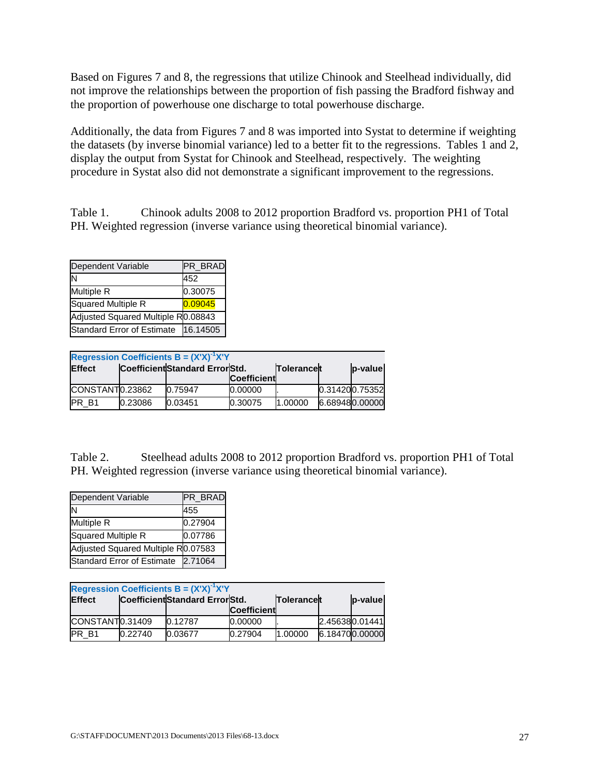Based on Figures 7 and 8, the regressions that utilize Chinook and Steelhead individually, did not improve the relationships between the proportion of fish passing the Bradford fishway and the proportion of powerhouse one discharge to total powerhouse discharge.

Additionally, the data from Figures 7 and 8 was imported into Systat to determine if weighting the datasets (by inverse binomial variance) led to a better fit to the regressions. Tables 1 and 2, display the output from Systat for Chinook and Steelhead, respectively. The weighting procedure in Systat also did not demonstrate a significant improvement to the regressions.

Table 1. Chinook adults 2008 to 2012 proportion Bradford vs. proportion PH1 of Total PH. Weighted regression (inverse variance using theoretical binomial variance).

| Dependent Variable                 | PR_BRAD  |
|------------------------------------|----------|
| ΙN                                 | 452      |
| <b>Multiple R</b>                  | 0.30075  |
| Squared Multiple R                 | 0.09045  |
| Adjusted Squared Multiple R0.08843 |          |
| <b>Standard Error of Estimate</b>  | 16.14505 |

| <b>Regression Coefficients B = <math>(X'X)^{-1}X'Y</math></b> |         |                                 |                    |                   |  |                |  |  |
|---------------------------------------------------------------|---------|---------------------------------|--------------------|-------------------|--|----------------|--|--|
| <b>Effect</b>                                                 |         | Coefficient Standard Error Std. |                    | <b>Tolerancet</b> |  | p-value        |  |  |
|                                                               |         |                                 | <b>Coefficient</b> |                   |  |                |  |  |
| CONSTANT0.23862                                               |         | 0.75947                         | 0.00000            |                   |  | 0.314200.75352 |  |  |
| <b>IPR B1</b>                                                 | 0.23086 | 0.03451                         | 0.30075            | 1.00000           |  | 6.689480.00000 |  |  |

Table 2. Steelhead adults 2008 to 2012 proportion Bradford vs. proportion PH1 of Total PH. Weighted regression (inverse variance using theoretical binomial variance).

| Dependent Variable                 | PR_BRAD |
|------------------------------------|---------|
| ΙN                                 | 455     |
| Multiple R                         | 0.27904 |
| Squared Multiple R                 | 0.07786 |
| Adjusted Squared Multiple R0.07583 |         |
| Standard Error of Estimate         | 2.71064 |

| <b>Regression Coefficients B = <math>(X'X)^{-1}X'Y</math></b> |         |                                 |                    |             |  |                |  |  |
|---------------------------------------------------------------|---------|---------------------------------|--------------------|-------------|--|----------------|--|--|
| <b>Effect</b>                                                 |         | Coefficient Standard Error Std. |                    | Tolerancelt |  | p-value        |  |  |
|                                                               |         |                                 | <b>Coefficient</b> |             |  |                |  |  |
| CONSTANT0.31409                                               |         | 0.12787                         | 0.00000            |             |  | 2.456380.01441 |  |  |
| <b>PR B1</b>                                                  | 0.22740 | 0.03677                         | 0.27904            | 1.00000     |  | 6.184700.00000 |  |  |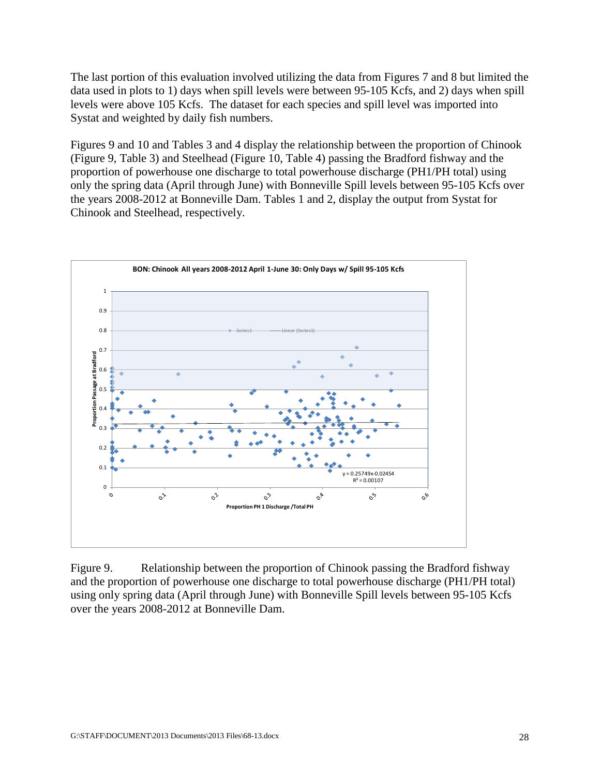The last portion of this evaluation involved utilizing the data from Figures 7 and 8 but limited the data used in plots to 1) days when spill levels were between 95-105 Kcfs, and 2) days when spill levels were above 105 Kcfs. The dataset for each species and spill level was imported into Systat and weighted by daily fish numbers.

Figures 9 and 10 and Tables 3 and 4 display the relationship between the proportion of Chinook (Figure 9, Table 3) and Steelhead (Figure 10, Table 4) passing the Bradford fishway and the proportion of powerhouse one discharge to total powerhouse discharge (PH1/PH total) using only the spring data (April through June) with Bonneville Spill levels between 95-105 Kcfs over the years 2008-2012 at Bonneville Dam. Tables 1 and 2, display the output from Systat for Chinook and Steelhead, respectively.



Figure 9. Relationship between the proportion of Chinook passing the Bradford fishway and the proportion of powerhouse one discharge to total powerhouse discharge (PH1/PH total) using only spring data (April through June) with Bonneville Spill levels between 95-105 Kcfs over the years 2008-2012 at Bonneville Dam.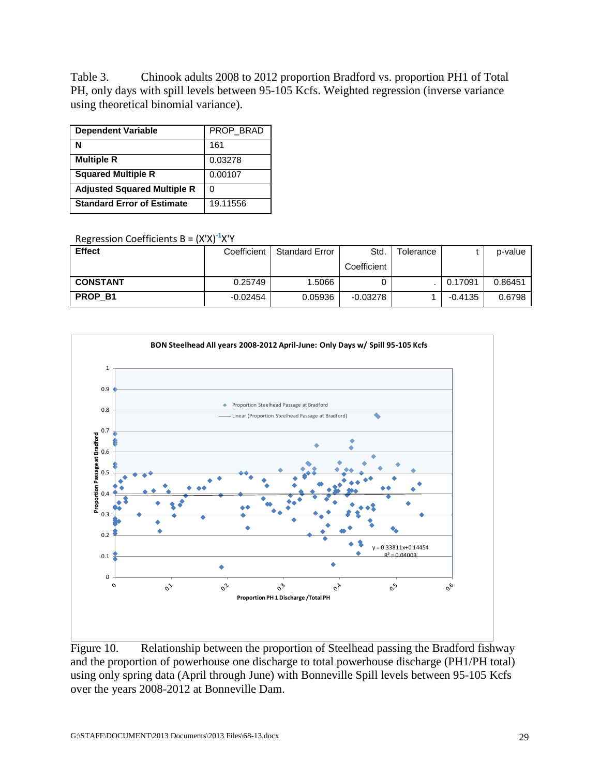Table 3. Chinook adults 2008 to 2012 proportion Bradford vs. proportion PH1 of Total PH, only days with spill levels between 95-105 Kcfs. Weighted regression (inverse variance using theoretical binomial variance).

| <b>Dependent Variable</b>          | PROP_BRAD |
|------------------------------------|-----------|
| N                                  | 161       |
| <b>Multiple R</b>                  | 0.03278   |
| <b>Squared Multiple R</b>          | 0.00107   |
| <b>Adjusted Squared Multiple R</b> |           |
| <b>Standard Error of Estimate</b>  | 19.11556  |

Regression Coefficients B = (X'X)**-1** X'Y

| <b>Effect</b>   | Coefficient | <b>Standard Error</b> | Std.        | Tolerance |           | p-value |
|-----------------|-------------|-----------------------|-------------|-----------|-----------|---------|
|                 |             |                       | Coefficient |           |           |         |
| <b>CONSTANT</b> | 0.25749     | 1.5066                |             |           | 0.17091   | 0.86451 |
| <b>PROP B1</b>  | -0.02454    | 0.05936               | $-0.03278$  |           | $-0.4135$ | 0.6798  |



Figure 10. Relationship between the proportion of Steelhead passing the Bradford fishway and the proportion of powerhouse one discharge to total powerhouse discharge (PH1/PH total) using only spring data (April through June) with Bonneville Spill levels between 95-105 Kcfs over the years 2008-2012 at Bonneville Dam.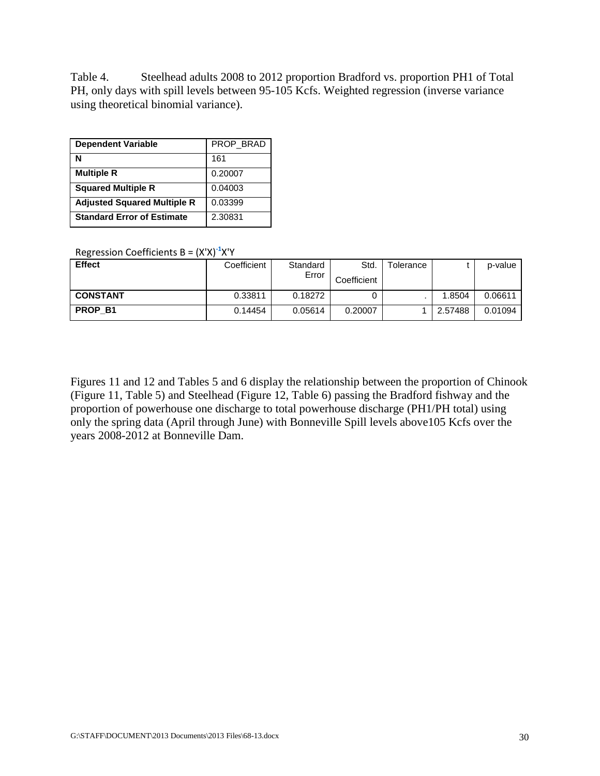Table 4. Steelhead adults 2008 to 2012 proportion Bradford vs. proportion PH1 of Total PH, only days with spill levels between 95-105 Kcfs. Weighted regression (inverse variance using theoretical binomial variance).

| <b>Dependent Variable</b>          | PROP BRAD |
|------------------------------------|-----------|
| N                                  | 161       |
| <b>Multiple R</b>                  | 0.20007   |
| <b>Squared Multiple R</b>          | 0.04003   |
| <b>Adjusted Squared Multiple R</b> | 0.03399   |
| <b>Standard Error of Estimate</b>  | 2.30831   |

Regression Coefficients B = (X'X)**-1** X'Y

| <b>Effect</b>   | Coefficient | Standard<br>Error | Std.<br>Coefficient | Tolerance |         | p-value |
|-----------------|-------------|-------------------|---------------------|-----------|---------|---------|
| <b>CONSTANT</b> | 0.33811     | 0.18272           |                     |           | 1.8504  | 0.06611 |
| PROP B1         | 0.14454     | 0.05614           | 0.20007             |           | 2.57488 | 0.01094 |

Figures 11 and 12 and Tables 5 and 6 display the relationship between the proportion of Chinook (Figure 11, Table 5) and Steelhead (Figure 12, Table 6) passing the Bradford fishway and the proportion of powerhouse one discharge to total powerhouse discharge (PH1/PH total) using only the spring data (April through June) with Bonneville Spill levels above105 Kcfs over the years 2008-2012 at Bonneville Dam.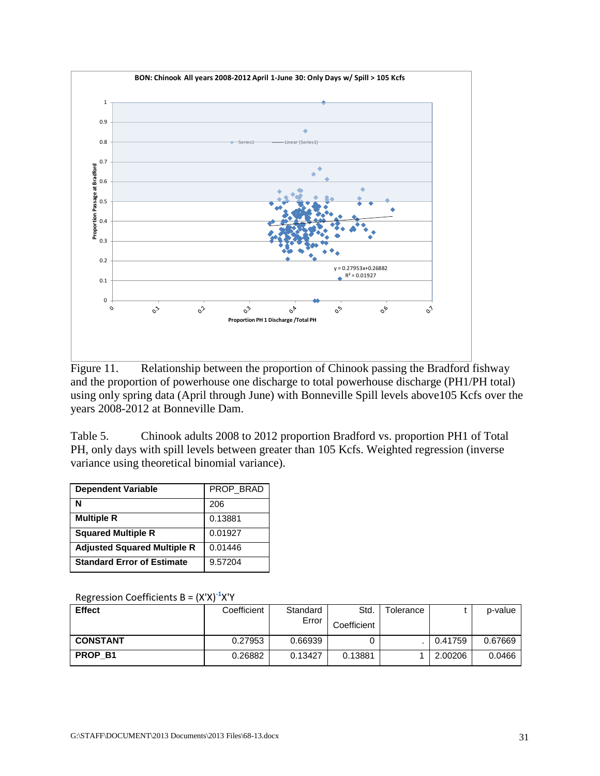

Figure 11. Relationship between the proportion of Chinook passing the Bradford fishway and the proportion of powerhouse one discharge to total powerhouse discharge (PH1/PH total) using only spring data (April through June) with Bonneville Spill levels above105 Kcfs over the years 2008-2012 at Bonneville Dam.

Table 5. Chinook adults 2008 to 2012 proportion Bradford vs. proportion PH1 of Total PH, only days with spill levels between greater than 105 Kcfs. Weighted regression (inverse variance using theoretical binomial variance).

| <b>Dependent Variable</b>          | PROP_BRAD |
|------------------------------------|-----------|
| N                                  | 206       |
| <b>Multiple R</b>                  | 0.13881   |
| <b>Squared Multiple R</b>          | 0.01927   |
| <b>Adjusted Squared Multiple R</b> | 0.01446   |
| <b>Standard Error of Estimate</b>  | 9.57204   |

|  | Regression Coefficients B = $(X'X)^{-1}X'Y$ |  |  |
|--|---------------------------------------------|--|--|
|--|---------------------------------------------|--|--|

| <b>Effect</b>   | Coefficient | Standard<br>Error | Std.<br>Coefficient | Tolerance |         | p-value |
|-----------------|-------------|-------------------|---------------------|-----------|---------|---------|
| <b>CONSTANT</b> | 0.27953     | 0.66939           |                     |           | 0.41759 | 0.67669 |
| PROP B1         | 0.26882     | 0.13427           | 0.13881             |           | 2.00206 | 0.0466  |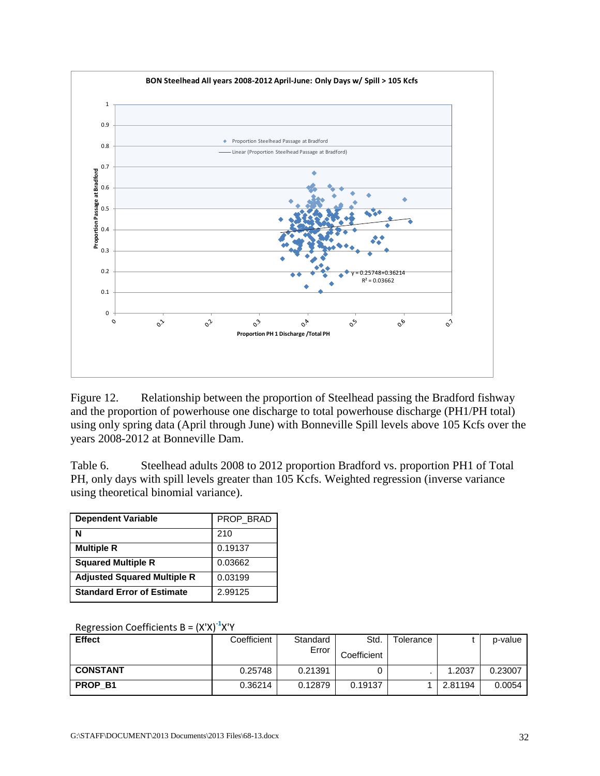

Figure 12. Relationship between the proportion of Steelhead passing the Bradford fishway and the proportion of powerhouse one discharge to total powerhouse discharge (PH1/PH total) using only spring data (April through June) with Bonneville Spill levels above 105 Kcfs over the years 2008-2012 at Bonneville Dam.

Table 6. Steelhead adults 2008 to 2012 proportion Bradford vs. proportion PH1 of Total PH, only days with spill levels greater than 105 Kcfs. Weighted regression (inverse variance using theoretical binomial variance).

| <b>Dependent Variable</b>          | PROP BRAD |
|------------------------------------|-----------|
| N                                  | 210       |
| <b>Multiple R</b>                  | 0.19137   |
| <b>Squared Multiple R</b>          | 0.03662   |
| <b>Adjusted Squared Multiple R</b> | 0.03199   |
| <b>Standard Error of Estimate</b>  | 2.99125   |

|  | Regression Coefficients B = (X'X) <sup>-1</sup> X'Y |  |  |  |
|--|-----------------------------------------------------|--|--|--|
|--|-----------------------------------------------------|--|--|--|

| <b>Effect</b>   | Coefficient | Standard<br>Error | Std.<br>Coefficient | Tolerance |         | p-value |
|-----------------|-------------|-------------------|---------------------|-----------|---------|---------|
| <b>CONSTANT</b> | 0.25748     | 0.21391           |                     |           | 1.2037  | 0.23007 |
| <b>PROP B1</b>  | 0.36214     | 0.12879           | 0.19137             |           | 2.81194 | 0.0054  |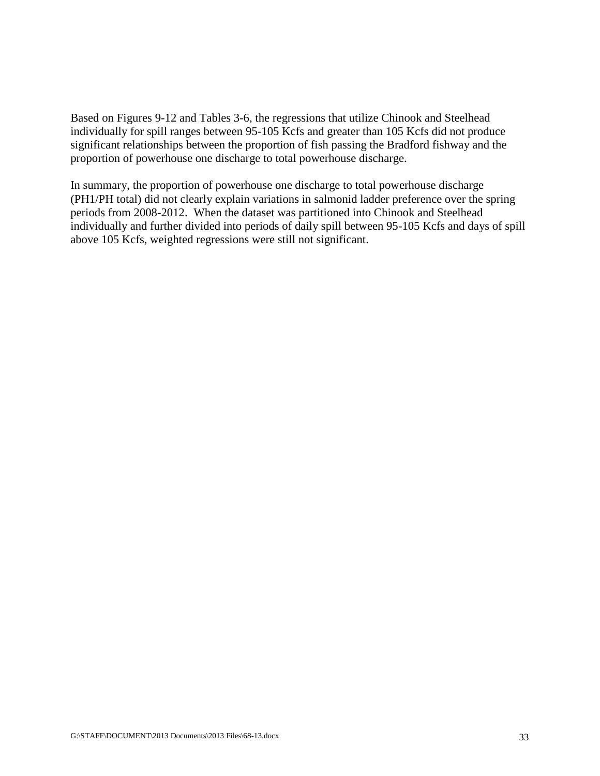Based on Figures 9-12 and Tables 3-6, the regressions that utilize Chinook and Steelhead individually for spill ranges between 95-105 Kcfs and greater than 105 Kcfs did not produce significant relationships between the proportion of fish passing the Bradford fishway and the proportion of powerhouse one discharge to total powerhouse discharge.

In summary, the proportion of powerhouse one discharge to total powerhouse discharge (PH1/PH total) did not clearly explain variations in salmonid ladder preference over the spring periods from 2008-2012. When the dataset was partitioned into Chinook and Steelhead individually and further divided into periods of daily spill between 95-105 Kcfs and days of spill above 105 Kcfs, weighted regressions were still not significant.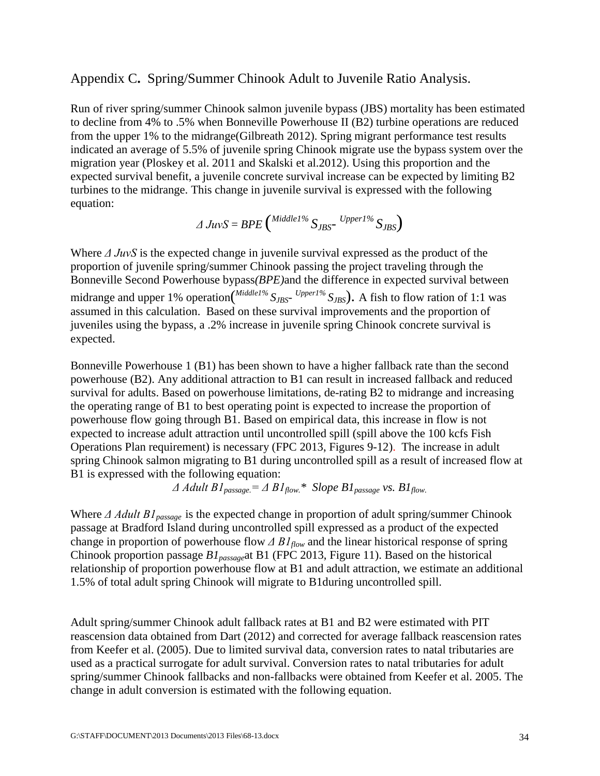### Appendix C**.** Spring/Summer Chinook Adult to Juvenile Ratio Analysis.

Run of river spring/summer Chinook salmon juvenile bypass (JBS) mortality has been estimated to decline from 4% to .5% when Bonneville Powerhouse II (B2) turbine operations are reduced from the upper 1% to the midrange(Gilbreath 2012). Spring migrant performance test results indicated an average of 5.5% of juvenile spring Chinook migrate use the bypass system over the migration year (Ploskey et al. 2011 and Skalski et al.2012). Using this proportion and the expected survival benefit, a juvenile concrete survival increase can be expected by limiting B2 turbines to the midrange. This change in juvenile survival is expressed with the following equation:

$$
\varDelta JuvS = BPE\left(\frac{Middel^{96}}{S_{JBS}} - \frac{Upper1\%}{S_{JBS}}\right)
$$

Where *Δ JuvS* is the expected change in juvenile survival expressed as the product of the proportion of juvenile spring/summer Chinook passing the project traveling through the Bonneville Second Powerhouse bypass*(BPE)*and the difference in expected survival between midrange and upper 1% operation(<sup>Middle1%</sup> S<sub>JBS</sub>- <sup>Upper1%</sup> S<sub>JBS</sub>). A fish to flow ration of 1:1 was assumed in this calculation. Based on these survival improvements and the proportion of juveniles using the bypass, a .2% increase in juvenile spring Chinook concrete survival is expected.

Bonneville Powerhouse 1 (B1) has been shown to have a higher fallback rate than the second powerhouse (B2). Any additional attraction to B1 can result in increased fallback and reduced survival for adults. Based on powerhouse limitations, de-rating B2 to midrange and increasing the operating range of B1 to best operating point is expected to increase the proportion of powerhouse flow going through B1. Based on empirical data, this increase in flow is not expected to increase adult attraction until uncontrolled spill (spill above the 100 kcfs Fish Operations Plan requirement) is necessary (FPC 2013, Figures 9-12). The increase in adult spring Chinook salmon migrating to B1 during uncontrolled spill as a result of increased flow at B1 is expressed with the following equation:

 $\Delta$  *Adult B1*<sub>passage</sub> =  $\Delta$  *B1*<sub>*flow.*\* *Slope B1*<sub>passage</sub> *vs. B1*<sub>*flow.*</sub></sub>

Where *Δ Adult B1passage* is the expected change in proportion of adult spring/summer Chinook passage at Bradford Island during uncontrolled spill expressed as a product of the expected change in proportion of powerhouse flow *Δ B1flow* and the linear historical response of spring Chinook proportion passage *B1passage*at B1 (FPC 2013, Figure 11). Based on the historical relationship of proportion powerhouse flow at B1 and adult attraction, we estimate an additional 1.5% of total adult spring Chinook will migrate to B1during uncontrolled spill.

Adult spring/summer Chinook adult fallback rates at B1 and B2 were estimated with PIT reascension data obtained from Dart (2012) and corrected for average fallback reascension rates from Keefer et al. (2005). Due to limited survival data, conversion rates to natal tributaries are used as a practical surrogate for adult survival. Conversion rates to natal tributaries for adult spring/summer Chinook fallbacks and non-fallbacks were obtained from Keefer et al. 2005. The change in adult conversion is estimated with the following equation.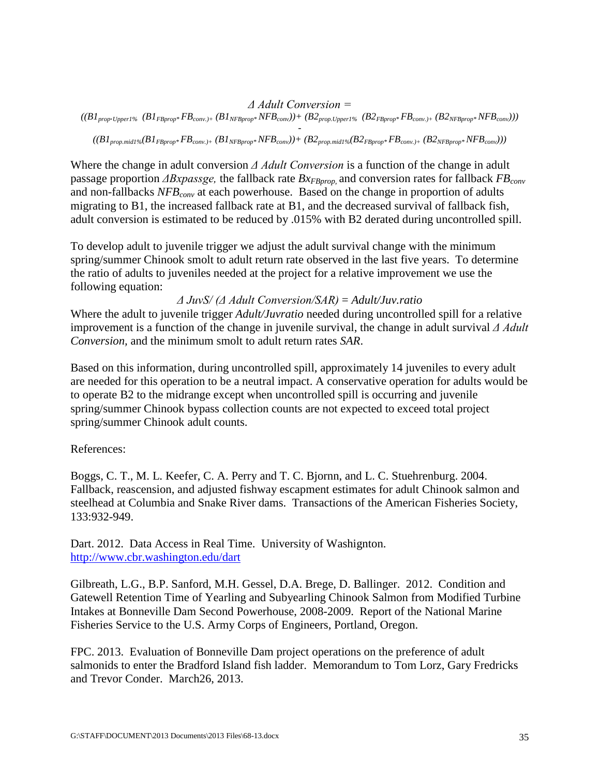#### *Δ Adult Conversion =*

 $((BI_{prop}.up_{per1\%} (BI_{FBprop}.FB_{conv.)+} (BI_{NFBprop}.NFB_{conv})) + (B2_{prop.Up_{per1\%}} (B2_{FBprop}.FB_{conv.)+} (B2_{NFBprop}.NFB_{conv})))$ 

*-*  $((BI_{prop.mid1\%}BI_{FBprop*}FB_{conv,+} (BI_{NFBprop*}NFB_{conv}))+(B2_{prop.mid1\%}B2_{FBprop*}FB_{conv,+} (B2_{NFBprop*}NFB_{conv})))$ 

Where the change in adult conversion *Δ Adult Conversion* is a function of the change in adult passage proportion *ΔBxpassge*, the fallback rate *Bx<sub>FBprop</sub>* and conversion rates for fallback *FB<sub>conv</sub>* and non-fallbacks *NFB<sub>conv</sub>* at each powerhouse. Based on the change in proportion of adults migrating to B1, the increased fallback rate at B1, and the decreased survival of fallback fish, adult conversion is estimated to be reduced by .015% with B2 derated during uncontrolled spill.

To develop adult to juvenile trigger we adjust the adult survival change with the minimum spring/summer Chinook smolt to adult return rate observed in the last five years. To determine the ratio of adults to juveniles needed at the project for a relative improvement we use the following equation:

*Δ JuvS/ (Δ Adult Conversion/SAR)* = *Adult/Juv.ratio*

Where the adult to juvenile trigger *Adult/Juvratio* needed during uncontrolled spill for a relative improvement is a function of the change in juvenile survival, the change in adult survival *Δ Adult Conversion,* and the minimum smolt to adult return rates *SAR*.

Based on this information, during uncontrolled spill, approximately 14 juveniles to every adult are needed for this operation to be a neutral impact. A conservative operation for adults would be to operate B2 to the midrange except when uncontrolled spill is occurring and juvenile spring/summer Chinook bypass collection counts are not expected to exceed total project spring/summer Chinook adult counts.

### References:

Boggs, C. T., M. L. Keefer, C. A. Perry and T. C. Bjornn, and L. C. Stuehrenburg. 2004. Fallback, reascension, and adjusted fishway escapment estimates for adult Chinook salmon and steelhead at Columbia and Snake River dams. Transactions of the American Fisheries Society, 133:932-949.

Dart. 2012. Data Access in Real Time. University of Washignton. <http://www.cbr.washington.edu/dart>

Gilbreath, L.G., B.P. Sanford, M.H. Gessel, D.A. Brege, D. Ballinger. 2012. Condition and Gatewell Retention Time of Yearling and Subyearling Chinook Salmon from Modified Turbine Intakes at Bonneville Dam Second Powerhouse, 2008-2009. Report of the National Marine Fisheries Service to the U.S. Army Corps of Engineers, Portland, Oregon.

FPC. 2013. Evaluation of Bonneville Dam project operations on the preference of adult salmonids to enter the Bradford Island fish ladder. Memorandum to Tom Lorz, Gary Fredricks and Trevor Conder. March26, 2013.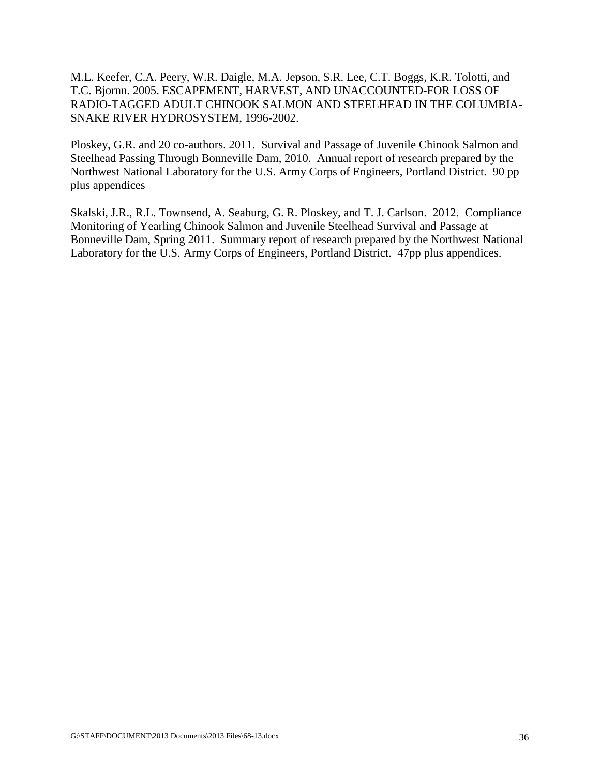M.L. Keefer, C.A. Peery, W.R. Daigle, M.A. Jepson, S.R. Lee, C.T. Boggs, K.R. Tolotti, and T.C. Bjornn. 2005. ESCAPEMENT, HARVEST, AND UNACCOUNTED-FOR LOSS OF RADIO-TAGGED ADULT CHINOOK SALMON AND STEELHEAD IN THE COLUMBIA-SNAKE RIVER HYDROSYSTEM, 1996-2002.

Ploskey, G.R. and 20 co-authors. 2011. Survival and Passage of Juvenile Chinook Salmon and Steelhead Passing Through Bonneville Dam, 2010. Annual report of research prepared by the Northwest National Laboratory for the U.S. Army Corps of Engineers, Portland District. 90 pp plus appendices

Skalski, J.R., R.L. Townsend, A. Seaburg, G. R. Ploskey, and T. J. Carlson. 2012. Compliance Monitoring of Yearling Chinook Salmon and Juvenile Steelhead Survival and Passage at Bonneville Dam, Spring 2011. Summary report of research prepared by the Northwest National Laboratory for the U.S. Army Corps of Engineers, Portland District. 47pp plus appendices.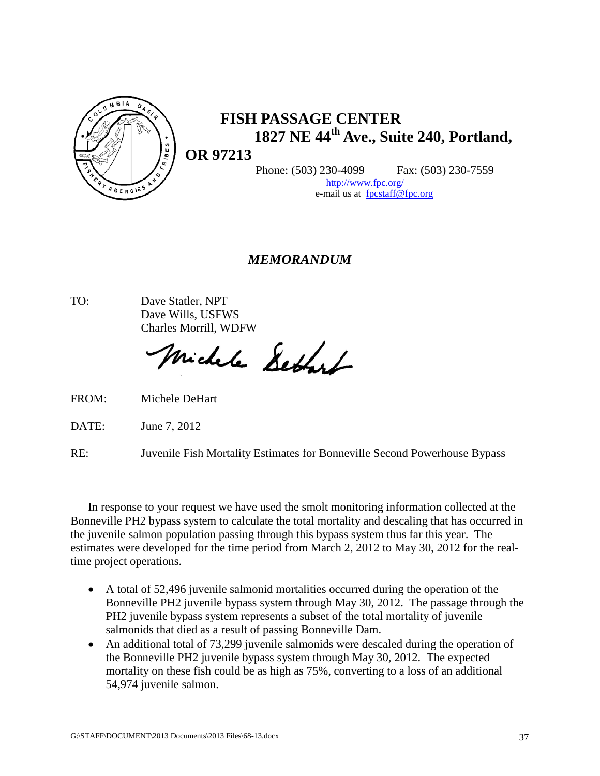

# **FISH PASSAGE CENTER 1827 NE 44th Ave., Suite 240, Portland,**

**OR 97213**

Phone: (503) 230-4099 Fax: (503) 230-7559

[http://www.fpc.org/](http://www.fpc.org/~fpc) e-mail us at[fpcstaff@fpc.org](mailto:fpcstaff@fpc.org)

# *MEMORANDUM*

TO: Dave Statler, NPT Dave Wills, USFWS Charles Morrill, WDFW

Michele Settest

FROM: Michele DeHart

DATE: June 7, 2012

RE: Juvenile Fish Mortality Estimates for Bonneville Second Powerhouse Bypass

In response to your request we have used the smolt monitoring information collected at the Bonneville PH2 bypass system to calculate the total mortality and descaling that has occurred in the juvenile salmon population passing through this bypass system thus far this year. The estimates were developed for the time period from March 2, 2012 to May 30, 2012 for the realtime project operations.

- A total of 52,496 juvenile salmonid mortalities occurred during the operation of the Bonneville PH2 juvenile bypass system through May 30, 2012. The passage through the PH2 juvenile bypass system represents a subset of the total mortality of juvenile salmonids that died as a result of passing Bonneville Dam.
- An additional total of 73,299 juvenile salmonids were descaled during the operation of the Bonneville PH2 juvenile bypass system through May 30, 2012. The expected mortality on these fish could be as high as 75%, converting to a loss of an additional 54,974 juvenile salmon.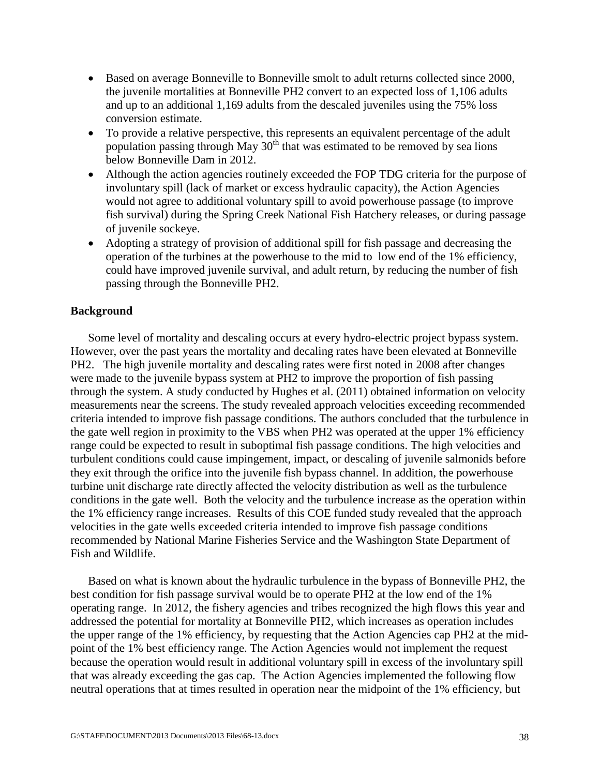- Based on average Bonneville to Bonneville smolt to adult returns collected since 2000, the juvenile mortalities at Bonneville PH2 convert to an expected loss of 1,106 adults and up to an additional 1,169 adults from the descaled juveniles using the 75% loss conversion estimate.
- To provide a relative perspective, this represents an equivalent percentage of the adult population passing through May  $30<sup>th</sup>$  that was estimated to be removed by sea lions below Bonneville Dam in 2012.
- Although the action agencies routinely exceeded the FOP TDG criteria for the purpose of involuntary spill (lack of market or excess hydraulic capacity), the Action Agencies would not agree to additional voluntary spill to avoid powerhouse passage (to improve fish survival) during the Spring Creek National Fish Hatchery releases, or during passage of juvenile sockeye.
- Adopting a strategy of provision of additional spill for fish passage and decreasing the operation of the turbines at the powerhouse to the mid to low end of the 1% efficiency, could have improved juvenile survival, and adult return, by reducing the number of fish passing through the Bonneville PH2.

#### **Background**

Some level of mortality and descaling occurs at every hydro-electric project bypass system. However, over the past years the mortality and decaling rates have been elevated at Bonneville PH2. The high juvenile mortality and descaling rates were first noted in 2008 after changes were made to the juvenile bypass system at PH2 to improve the proportion of fish passing through the system. A study conducted by Hughes et al. (2011) obtained information on velocity measurements near the screens. The study revealed approach velocities exceeding recommended criteria intended to improve fish passage conditions. The authors concluded that the turbulence in the gate well region in proximity to the VBS when PH2 was operated at the upper 1% efficiency range could be expected to result in suboptimal fish passage conditions. The high velocities and turbulent conditions could cause impingement, impact, or descaling of juvenile salmonids before they exit through the orifice into the juvenile fish bypass channel. In addition, the powerhouse turbine unit discharge rate directly affected the velocity distribution as well as the turbulence conditions in the gate well. Both the velocity and the turbulence increase as the operation within the 1% efficiency range increases. Results of this COE funded study revealed that the approach velocities in the gate wells exceeded criteria intended to improve fish passage conditions recommended by National Marine Fisheries Service and the Washington State Department of Fish and Wildlife.

Based on what is known about the hydraulic turbulence in the bypass of Bonneville PH2, the best condition for fish passage survival would be to operate PH2 at the low end of the 1% operating range. In 2012, the fishery agencies and tribes recognized the high flows this year and addressed the potential for mortality at Bonneville PH2, which increases as operation includes the upper range of the 1% efficiency, by requesting that the Action Agencies cap PH2 at the midpoint of the 1% best efficiency range. The Action Agencies would not implement the request because the operation would result in additional voluntary spill in excess of the involuntary spill that was already exceeding the gas cap. The Action Agencies implemented the following flow neutral operations that at times resulted in operation near the midpoint of the 1% efficiency, but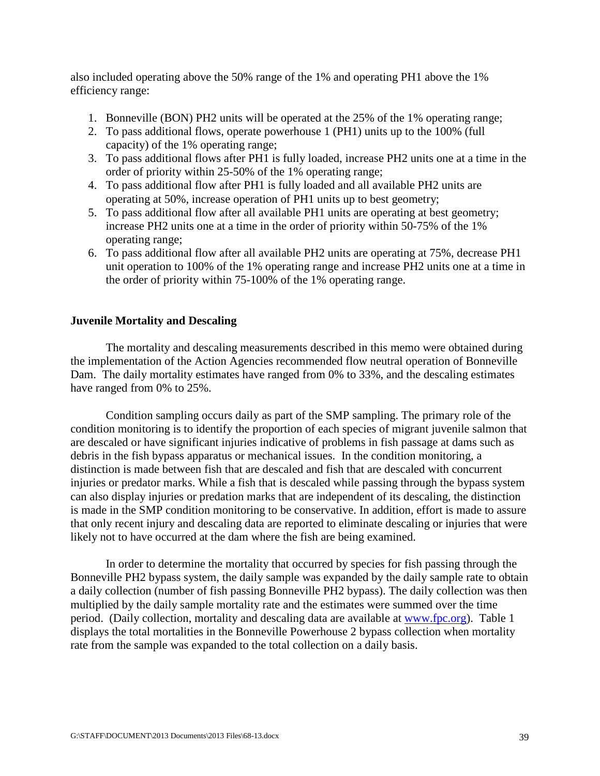also included operating above the 50% range of the 1% and operating PH1 above the 1% efficiency range:

- 1. Bonneville (BON) PH2 units will be operated at the 25% of the 1% operating range;
- 2. To pass additional flows, operate powerhouse 1 (PH1) units up to the 100% (full capacity) of the 1% operating range;
- 3. To pass additional flows after PH1 is fully loaded, increase PH2 units one at a time in the order of priority within 25-50% of the 1% operating range;
- 4. To pass additional flow after PH1 is fully loaded and all available PH2 units are operating at 50%, increase operation of PH1 units up to best geometry;
- 5. To pass additional flow after all available PH1 units are operating at best geometry; increase PH2 units one at a time in the order of priority within 50-75% of the 1% operating range;
- 6. To pass additional flow after all available PH2 units are operating at 75%, decrease PH1 unit operation to 100% of the 1% operating range and increase PH2 units one at a time in the order of priority within 75-100% of the 1% operating range.

#### **Juvenile Mortality and Descaling**

The mortality and descaling measurements described in this memo were obtained during the implementation of the Action Agencies recommended flow neutral operation of Bonneville Dam. The daily mortality estimates have ranged from 0% to 33%, and the descaling estimates have ranged from 0% to 25%.

 Condition sampling occurs daily as part of the SMP sampling. The primary role of the condition monitoring is to identify the proportion of each species of migrant juvenile salmon that are descaled or have significant injuries indicative of problems in fish passage at dams such as debris in the fish bypass apparatus or mechanical issues. In the condition monitoring, a distinction is made between fish that are descaled and fish that are descaled with concurrent injuries or predator marks. While a fish that is descaled while passing through the bypass system can also display injuries or predation marks that are independent of its descaling, the distinction is made in the SMP condition monitoring to be conservative. In addition, effort is made to assure that only recent injury and descaling data are reported to eliminate descaling or injuries that were likely not to have occurred at the dam where the fish are being examined.

In order to determine the mortality that occurred by species for fish passing through the Bonneville PH2 bypass system, the daily sample was expanded by the daily sample rate to obtain a daily collection (number of fish passing Bonneville PH2 bypass). The daily collection was then multiplied by the daily sample mortality rate and the estimates were summed over the time period. (Daily collection, mortality and descaling data are available at [www.fpc.org\)](http://www.fpc.org/). Table 1 displays the total mortalities in the Bonneville Powerhouse 2 bypass collection when mortality rate from the sample was expanded to the total collection on a daily basis.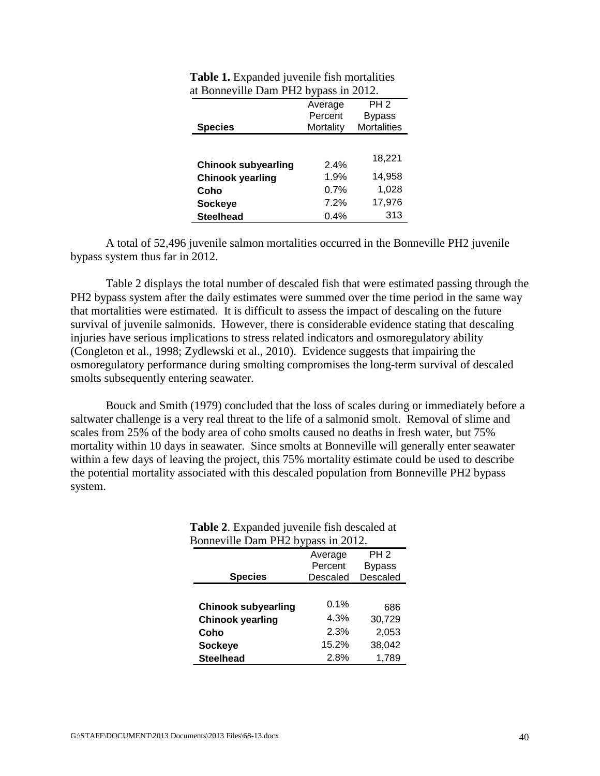|                            | Average   | PH <sub>2</sub>    |
|----------------------------|-----------|--------------------|
|                            | Percent   | <b>Bypass</b>      |
| <b>Species</b>             | Mortality | <b>Mortalities</b> |
|                            |           |                    |
|                            |           | 18,221             |
| <b>Chinook subyearling</b> | 2.4%      |                    |
| <b>Chinook yearling</b>    | 1.9%      | 14,958             |
| Coho                       | 0.7%      | 1,028              |
| <b>Sockeye</b>             | 7.2%      | 17,976             |
| <b>Steelhead</b>           | 0.4%      | 313                |

| <b>Table 1.</b> Expanded juvenile fish mortalities |
|----------------------------------------------------|
| at Bonneville Dam PH2 bypass in 2012.              |

A total of 52,496 juvenile salmon mortalities occurred in the Bonneville PH2 juvenile bypass system thus far in 2012.

Table 2 displays the total number of descaled fish that were estimated passing through the PH2 bypass system after the daily estimates were summed over the time period in the same way that mortalities were estimated. It is difficult to assess the impact of descaling on the future survival of juvenile salmonids. However, there is considerable evidence stating that descaling injuries have serious implications to stress related indicators and osmoregulatory ability (Congleton et al., 1998; Zydlewski et al., 2010). Evidence suggests that impairing the osmoregulatory performance during smolting compromises the long-term survival of descaled smolts subsequently entering seawater.

Bouck and Smith (1979) concluded that the loss of scales during or immediately before a saltwater challenge is a very real threat to the life of a salmonid smolt. Removal of slime and scales from 25% of the body area of coho smolts caused no deaths in fresh water, but 75% mortality within 10 days in seawater. Since smolts at Bonneville will generally enter seawater within a few days of leaving the project, this 75% mortality estimate could be used to describe the potential mortality associated with this descaled population from Bonneville PH2 bypass system.

| Bonneville Dam PH2 bypass in 2012. |          |               |  |  |  |
|------------------------------------|----------|---------------|--|--|--|
| PH <sub>2</sub><br>Average         |          |               |  |  |  |
|                                    | Percent  | <b>Bypass</b> |  |  |  |
| <b>Species</b>                     | Descaled | Descaled      |  |  |  |
|                                    |          |               |  |  |  |
| <b>Chinook subyearling</b>         | 0.1%     | 686           |  |  |  |
| <b>Chinook yearling</b>            | 4.3%     | 30,729        |  |  |  |
| Coho                               | 2.3%     | 2,053         |  |  |  |
| <b>Sockeye</b>                     | 15.2%    | 38,042        |  |  |  |
| <b>Steelhead</b>                   | 2.8%     | 1,789         |  |  |  |

# **Table 2**. Expanded juvenile fish descaled at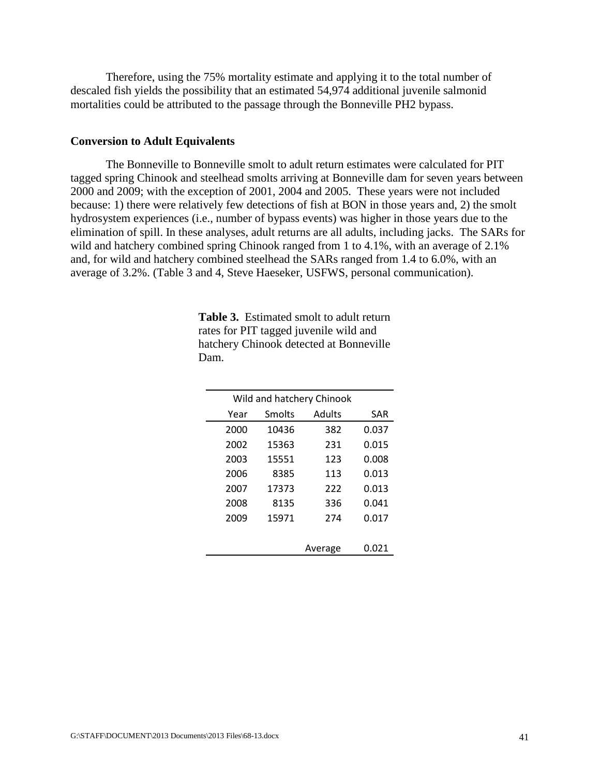Therefore, using the 75% mortality estimate and applying it to the total number of descaled fish yields the possibility that an estimated 54,974 additional juvenile salmonid mortalities could be attributed to the passage through the Bonneville PH2 bypass.

#### **Conversion to Adult Equivalents**

The Bonneville to Bonneville smolt to adult return estimates were calculated for PIT tagged spring Chinook and steelhead smolts arriving at Bonneville dam for seven years between 2000 and 2009; with the exception of 2001, 2004 and 2005. These years were not included because: 1) there were relatively few detections of fish at BON in those years and, 2) the smolt hydrosystem experiences (i.e., number of bypass events) was higher in those years due to the elimination of spill. In these analyses, adult returns are all adults, including jacks. The SARs for wild and hatchery combined spring Chinook ranged from 1 to 4.1%, with an average of 2.1% and, for wild and hatchery combined steelhead the SARs ranged from 1.4 to 6.0%, with an average of 3.2%. (Table 3 and 4, Steve Haeseker, USFWS, personal communication).

| Wild and hatchery Chinook |        |         |       |  |
|---------------------------|--------|---------|-------|--|
| Year                      | Smolts | Adults  | SAR   |  |
| 2000                      | 10436  | 382     | 0.037 |  |
| 2002                      | 15363  | 231     | 0.015 |  |
| 2003                      | 15551  | 123     | 0.008 |  |
| 2006                      | 8385   | 113     | 0.013 |  |
| 2007                      | 17373  | 222     | 0.013 |  |
| 2008                      | 8135   | 336     | 0.041 |  |
| 2009                      | 15971  | 274     | 0.017 |  |
|                           |        |         |       |  |
|                           |        | Average | 0.021 |  |

**Table 3.** Estimated smolt to adult return rates for PIT tagged juvenile wild and hatchery Chinook detected at Bonneville Dam.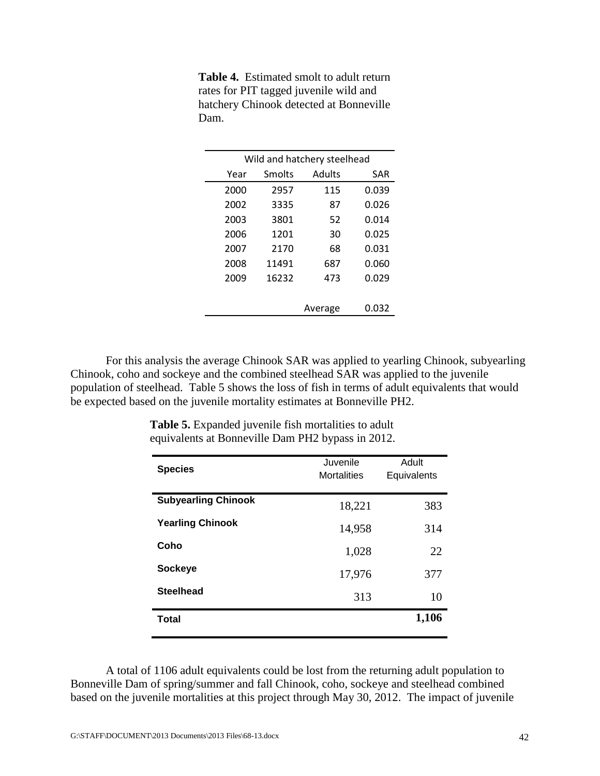| Wild and hatchery steelhead |        |         |            |  |
|-----------------------------|--------|---------|------------|--|
| Year                        | Smolts | Adults  | <b>SAR</b> |  |
| 2000                        | 2957   | 115     | 0.039      |  |
| 2002                        | 3335   | 87      | 0.026      |  |
| 2003                        | 3801   | 52      | 0.014      |  |
| 2006                        | 1201   | 30      | 0.025      |  |
| 2007                        | 2170   | 68      | 0.031      |  |
| 2008                        | 11491  | 687     | 0.060      |  |
| 2009                        | 16232  | 473     | 0.029      |  |
|                             |        |         |            |  |
|                             |        | Average | 0.032      |  |
|                             |        |         |            |  |

**Table 4.** Estimated smolt to adult return rates for PIT tagged juvenile wild and hatchery Chinook detected at Bonneville Dam.

For this analysis the average Chinook SAR was applied to yearling Chinook, subyearling Chinook, coho and sockeye and the combined steelhead SAR was applied to the juvenile population of steelhead. Table 5 shows the loss of fish in terms of adult equivalents that would be expected based on the juvenile mortality estimates at Bonneville PH2.

| <b>Species</b>             | Juvenile<br><b>Mortalities</b> | Adult<br>Equivalents |
|----------------------------|--------------------------------|----------------------|
| <b>Subyearling Chinook</b> | 18,221                         | 383                  |
| <b>Yearling Chinook</b>    | 14,958                         | 314                  |
| Coho                       | 1,028                          | 22                   |
| <b>Sockeye</b>             | 17,976                         | 377                  |
| <b>Steelhead</b>           | 313                            | 10                   |
| <b>Total</b>               |                                | 1,106                |

**Table 5.** Expanded juvenile fish mortalities to adult equivalents at Bonneville Dam PH2 bypass in 2012.

A total of 1106 adult equivalents could be lost from the returning adult population to Bonneville Dam of spring/summer and fall Chinook, coho, sockeye and steelhead combined based on the juvenile mortalities at this project through May 30, 2012. The impact of juvenile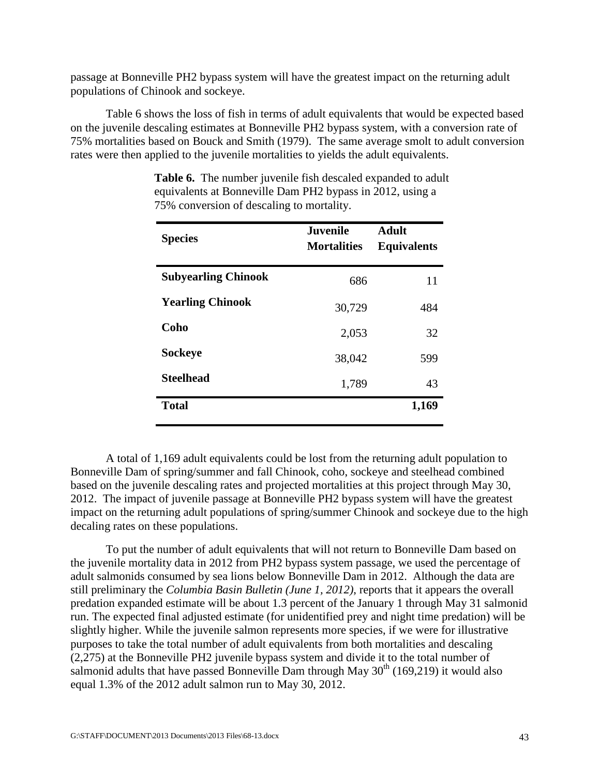passage at Bonneville PH2 bypass system will have the greatest impact on the returning adult populations of Chinook and sockeye.

Table 6 shows the loss of fish in terms of adult equivalents that would be expected based on the juvenile descaling estimates at Bonneville PH2 bypass system, with a conversion rate of 75% mortalities based on Bouck and Smith (1979). The same average smolt to adult conversion rates were then applied to the juvenile mortalities to yields the adult equivalents.

| <b>Species</b>             | <b>Juvenile</b><br><b>Mortalities</b> | <b>Adult</b><br><b>Equivalents</b> |  |
|----------------------------|---------------------------------------|------------------------------------|--|
| <b>Subyearling Chinook</b> | 686                                   | 11                                 |  |
| <b>Yearling Chinook</b>    | 30,729                                | 484                                |  |
| Coho                       | 2,053                                 | 32                                 |  |
| <b>Sockeye</b>             | 38,042                                | 599                                |  |
| <b>Steelhead</b>           | 1,789                                 | 43                                 |  |
| <b>Total</b>               |                                       | 1,169                              |  |

**Table 6.** The number juvenile fish descaled expanded to adult equivalents at Bonneville Dam PH2 bypass in 2012, using a 75% conversion of descaling to mortality.

A total of 1,169 adult equivalents could be lost from the returning adult population to Bonneville Dam of spring/summer and fall Chinook, coho, sockeye and steelhead combined based on the juvenile descaling rates and projected mortalities at this project through May 30, 2012. The impact of juvenile passage at Bonneville PH2 bypass system will have the greatest impact on the returning adult populations of spring/summer Chinook and sockeye due to the high decaling rates on these populations.

To put the number of adult equivalents that will not return to Bonneville Dam based on the juvenile mortality data in 2012 from PH2 bypass system passage, we used the percentage of adult salmonids consumed by sea lions below Bonneville Dam in 2012. Although the data are still preliminary the *Columbia Basin Bulletin (June 1, 2012)*, reports that it appears the overall predation expanded estimate will be about 1.3 percent of the January 1 through May 31 salmonid run. The expected final adjusted estimate (for unidentified prey and night time predation) will be slightly higher. While the juvenile salmon represents more species, if we were for illustrative purposes to take the total number of adult equivalents from both mortalities and descaling (2,275) at the Bonneville PH2 juvenile bypass system and divide it to the total number of salmonid adults that have passed Bonneville Dam through May  $30<sup>th</sup>$  (169,219) it would also equal 1.3% of the 2012 adult salmon run to May 30, 2012.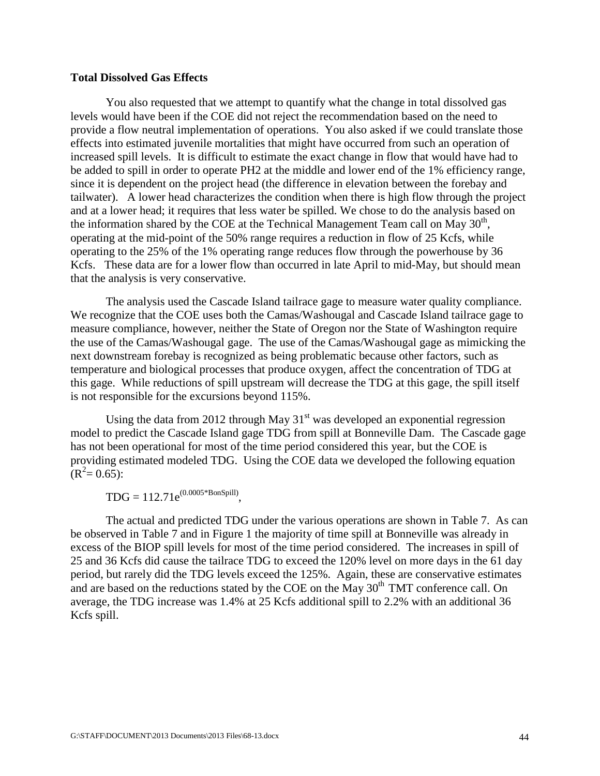#### **Total Dissolved Gas Effects**

You also requested that we attempt to quantify what the change in total dissolved gas levels would have been if the COE did not reject the recommendation based on the need to provide a flow neutral implementation of operations. You also asked if we could translate those effects into estimated juvenile mortalities that might have occurred from such an operation of increased spill levels. It is difficult to estimate the exact change in flow that would have had to be added to spill in order to operate PH2 at the middle and lower end of the 1% efficiency range, since it is dependent on the project head (the difference in elevation between the forebay and tailwater). A lower head characterizes the condition when there is high flow through the project and at a lower head; it requires that less water be spilled. We chose to do the analysis based on the information shared by the COE at the Technical Management Team call on May  $30<sup>th</sup>$ , operating at the mid-point of the 50% range requires a reduction in flow of 25 Kcfs, while operating to the 25% of the 1% operating range reduces flow through the powerhouse by 36 Kcfs. These data are for a lower flow than occurred in late April to mid-May, but should mean that the analysis is very conservative.

The analysis used the Cascade Island tailrace gage to measure water quality compliance. We recognize that the COE uses both the Camas/Washougal and Cascade Island tailrace gage to measure compliance, however, neither the State of Oregon nor the State of Washington require the use of the Camas/Washougal gage. The use of the Camas/Washougal gage as mimicking the next downstream forebay is recognized as being problematic because other factors, such as temperature and biological processes that produce oxygen, affect the concentration of TDG at this gage. While reductions of spill upstream will decrease the TDG at this gage, the spill itself is not responsible for the excursions beyond 115%.

Using the data from 2012 through May  $31<sup>st</sup>$  was developed an exponential regression model to predict the Cascade Island gage TDG from spill at Bonneville Dam. The Cascade gage has not been operational for most of the time period considered this year, but the COE is providing estimated modeled TDG. Using the COE data we developed the following equation  $(R^2 = 0.65)$ :

 $TDG = 112.71e^{(0.0005*BonSpill)},$ 

The actual and predicted TDG under the various operations are shown in Table 7. As can be observed in Table 7 and in Figure 1 the majority of time spill at Bonneville was already in excess of the BIOP spill levels for most of the time period considered. The increases in spill of 25 and 36 Kcfs did cause the tailrace TDG to exceed the 120% level on more days in the 61 day period, but rarely did the TDG levels exceed the 125%. Again, these are conservative estimates and are based on the reductions stated by the COE on the  $\overline{M}$ ay 30<sup>th</sup> TMT conference call. On average, the TDG increase was 1.4% at 25 Kcfs additional spill to 2.2% with an additional 36 Kcfs spill.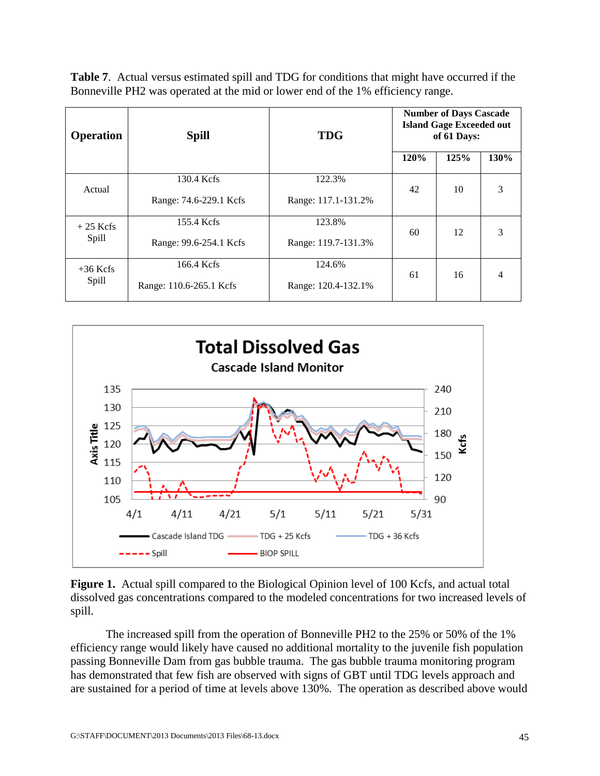**Table 7**. Actual versus estimated spill and TDG for conditions that might have occurred if the Bonneville PH2 was operated at the mid or lower end of the 1% efficiency range.

| <b>Operation</b>    | <b>Spill</b>            | <b>TDG</b>          | <b>Number of Days Cascade</b><br><b>Island Gage Exceeded out</b><br>of 61 Days: |      |      |
|---------------------|-------------------------|---------------------|---------------------------------------------------------------------------------|------|------|
|                     |                         |                     | 120%                                                                            | 125% | 130% |
| Actual              | 130.4 Kcfs              | 122.3%              | 42                                                                              | 10   | 3    |
|                     | Range: 74.6-229.1 Kcfs  | Range: 117.1-131.2% |                                                                                 |      |      |
| $+25$ Kcfs<br>Spill | 155.4 Kcfs              | 123.8%              | 60                                                                              | 12   | 3    |
|                     | Range: 99.6-254.1 Kcfs  | Range: 119.7-131.3% |                                                                                 |      |      |
| $+36$ Kcfs<br>Spill | 166.4 Kcfs              | 124.6%              | 61                                                                              | 16   | 4    |
|                     | Range: 110.6-265.1 Kcfs | Range: 120.4-132.1% |                                                                                 |      |      |



**Figure 1.** Actual spill compared to the Biological Opinion level of 100 Kcfs, and actual total dissolved gas concentrations compared to the modeled concentrations for two increased levels of spill.

The increased spill from the operation of Bonneville PH2 to the 25% or 50% of the 1% efficiency range would likely have caused no additional mortality to the juvenile fish population passing Bonneville Dam from gas bubble trauma. The gas bubble trauma monitoring program has demonstrated that few fish are observed with signs of GBT until TDG levels approach and are sustained for a period of time at levels above 130%. The operation as described above would